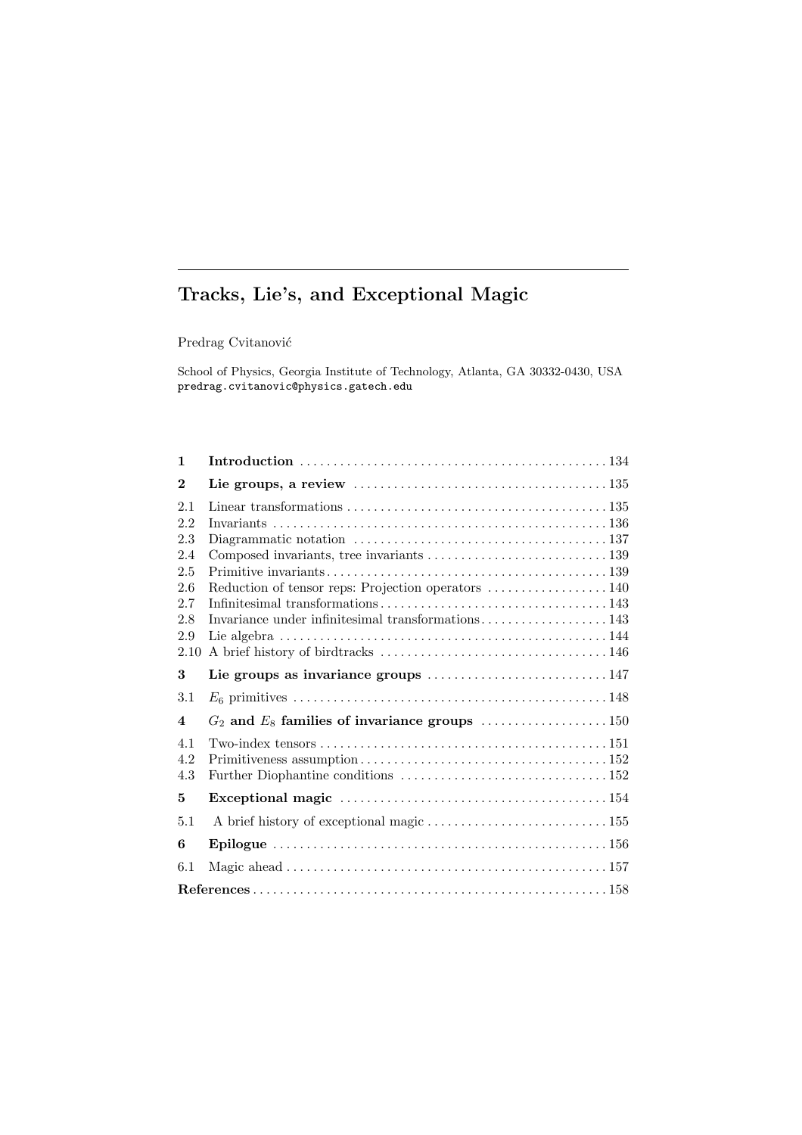# **Tracks, Lie's, and Exceptional Magic**

 $\operatorname{Predrag}$ Cvitanović

School of Physics, Georgia Institute of Technology, Atlanta, GA 30332-0430, USA predrag.cvitanovic@physics.gatech.edu

| 1                                                                   |                                                                                                          |  |  |  |  |  |  |
|---------------------------------------------------------------------|----------------------------------------------------------------------------------------------------------|--|--|--|--|--|--|
| $\bf{2}$                                                            |                                                                                                          |  |  |  |  |  |  |
| 2.1<br>2.2<br>2.3<br>2.4<br>2.5<br>2.6<br>2.7<br>2.8<br>2.9<br>2.10 | Reduction of tensor reps: Projection operators  140<br>Invariance under infinitesimal transformations143 |  |  |  |  |  |  |
| 3                                                                   |                                                                                                          |  |  |  |  |  |  |
| 3.1                                                                 |                                                                                                          |  |  |  |  |  |  |
| $\overline{\mathbf{4}}$                                             | $G_2$ and $E_8$ families of invariance groups 150                                                        |  |  |  |  |  |  |
| 4.1<br>4.2<br>4.3                                                   |                                                                                                          |  |  |  |  |  |  |
| 5                                                                   |                                                                                                          |  |  |  |  |  |  |
| 5.1                                                                 |                                                                                                          |  |  |  |  |  |  |
| 6                                                                   |                                                                                                          |  |  |  |  |  |  |
| 6.1                                                                 |                                                                                                          |  |  |  |  |  |  |
|                                                                     |                                                                                                          |  |  |  |  |  |  |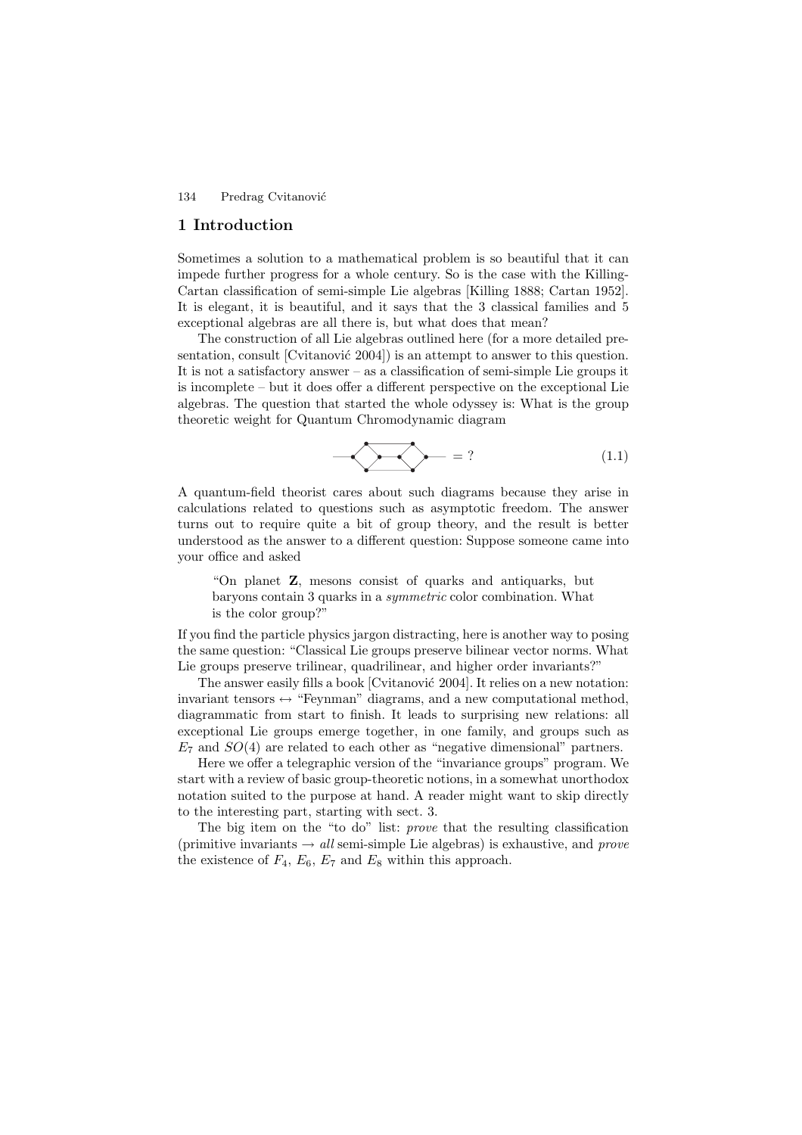## **1 Introduction**

Sometimes a solution to a mathematical problem is so beautiful that it can impede further progress for a whole century. So is the case with the Killing-Cartan classification of semi-simple Lie algebras [Killing 1888; Cartan 1952]. It is elegant, it is beautiful, and it says that the 3 classical families and 5 exceptional algebras are all there is, but what does that mean?

The construction of all Lie algebras outlined here (for a more detailed presentation, consult [Cvitanović  $2004$ ]) is an attempt to answer to this question. It is not a satisfactory answer – as a classification of semi-simple Lie groups it is incomplete – but it does offer a different perspective on the exceptional Lie algebras. The question that started the whole odyssey is: What is the group theoretic weight for Quantum Chromodynamic diagram

$$
-\sqrt{\frac{1}{1}} = ?
$$
 (1.1)

A quantum-field theorist cares about such diagrams because they arise in calculations related to questions such as asymptotic freedom. The answer turns out to require quite a bit of group theory, and the result is better understood as the answer to a different question: Suppose someone came into your office and asked

"On planet **Z**, mesons consist of quarks and antiquarks, but baryons contain 3 quarks in a symmetric color combination. What is the color group?"

If you find the particle physics jargon distracting, here is another way to posing the same question: "Classical Lie groups preserve bilinear vector norms. What Lie groups preserve trilinear, quadrilinear, and higher order invariants?"

The answer easily fills a book [Cvitanović 2004]. It relies on a new notation: invariant tensors  $\leftrightarrow$  "Feynman" diagrams, and a new computational method, diagrammatic from start to finish. It leads to surprising new relations: all exceptional Lie groups emerge together, in one family, and groups such as  $E_7$  and  $SO(4)$  are related to each other as "negative dimensional" partners.

Here we offer a telegraphic version of the "invariance groups" program. We start with a review of basic group-theoretic notions, in a somewhat unorthodox notation suited to the purpose at hand. A reader might want to skip directly to the interesting part, starting with sect. 3.

The big item on the "to do" list: prove that the resulting classification (primitive invariants  $\rightarrow$  all semi-simple Lie algebras) is exhaustive, and prove the existence of  $F_4$ ,  $E_6$ ,  $E_7$  and  $E_8$  within this approach.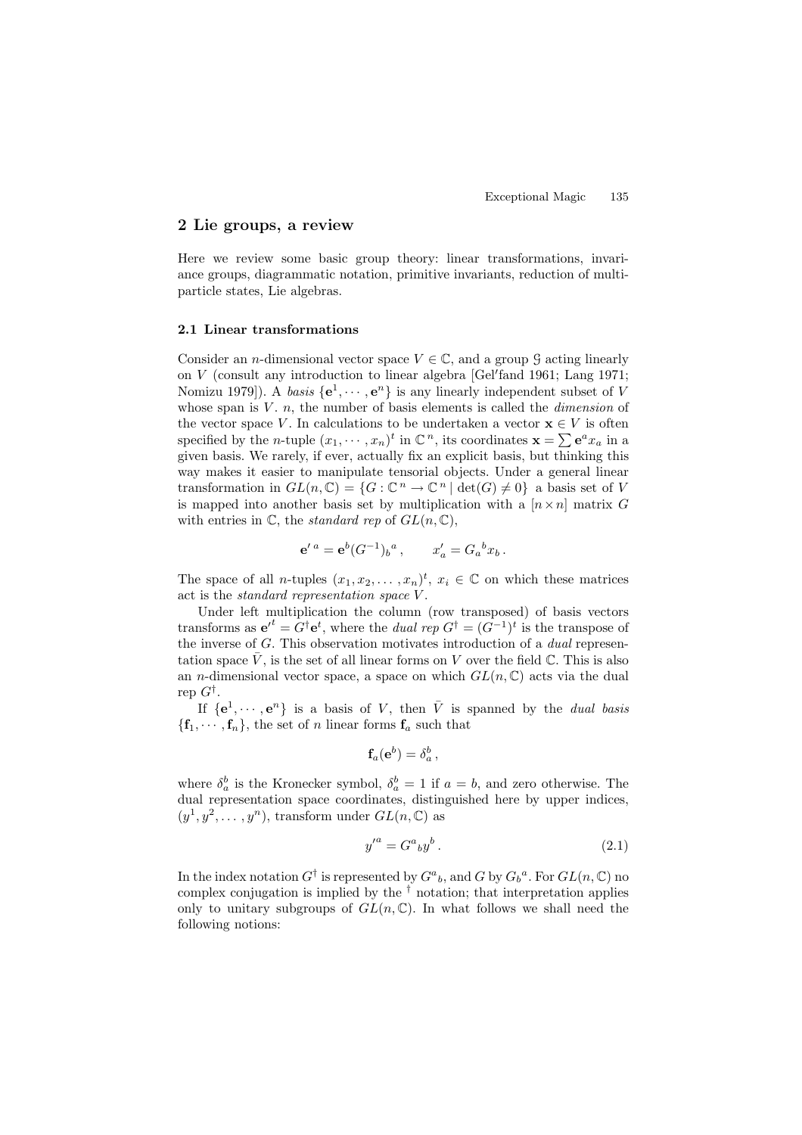# **2 Lie groups, a review**

Here we review some basic group theory: linear transformations, invariance groups, diagrammatic notation, primitive invariants, reduction of multiparticle states, Lie algebras.

# **2.1 Linear transformations**

Consider an *n*-dimensional vector space  $V \in \mathbb{C}$ , and a group  $\mathcal{G}$  acting linearly on V (consult any introduction to linear algebra [Gel fand 1961; Lang 1971; Nomizu 1979]). A *basis*  $\{e^1, \dots, e^n\}$  is any linearly independent subset of V whose span is  $V$ . n, the number of basis elements is called the *dimension* of the vector space V. In calculations to be undertaken a vector  $\mathbf{x} \in V$  is often specified by the *n*-tuple  $(x_1, \dots, x_n)^t$  in  $\mathbb{C}^n$ , its coordinates  $\mathbf{x} = \sum \mathbf{e}^a x_a$  in a given basis. We rarely, if ever, actually fix an explicit basis, but thinking this way makes it easier to manipulate tensorial objects. Under a general linear transformation in  $GL(n,\mathbb{C}) = \{G : \mathbb{C}^n \to \mathbb{C}^n \mid \det(G) \neq 0\}$  a basis set of V is mapped into another basis set by multiplication with a  $[n \times n]$  matrix G with entries in  $\mathbb C$ , the *standard rep* of  $GL(n,\mathbb C)$ ,

$$
{\bf e}'^a = {\bf e}^b (G^{-1})_b{}^a \,, \qquad x'_a = G_a{}^b x_b \,.
$$

The space of all *n*-tuples  $(x_1, x_2, \ldots, x_n)^t$ ,  $x_i \in \mathbb{C}$  on which these matrices act is the standard representation space V .

Under left multiplication the column (row transposed) of basis vectors transforms as  $e^{t} = G^{\dagger} e^{t}$ , where the *dual rep*  $G^{\dagger} = (G^{-1})^{t}$  is the transpose of the inverse of G. This observation motivates introduction of a dual representation space  $\bar{V}$ , is the set of all linear forms on V over the field  $\mathbb{C}$ . This is also an n-dimensional vector space, a space on which  $GL(n, \mathbb{C})$  acts via the dual rep  $G^{\dagger}$ .

If  $\{e^1, \dots, e^n\}$  is a basis of V, then  $\overline{V}$  is spanned by the *dual basis*  ${\bf f}_1, \cdots, {\bf f}_n$ , the set of *n* linear forms  ${\bf f}_a$  such that

$$
\mathbf{f}_a(\mathbf{e}^b) = \delta_a^b\,,
$$

where  $\delta_a^b$  is the Kronecker symbol,  $\delta_a^b = 1$  if  $a = b$ , and zero otherwise. The dual representation space coordinates, distinguished here by upper indices,  $(y^1, y^2, \ldots, y^n)$ , transform under  $GL(n, \mathbb{C})$  as

$$
y'^a = G^a{}_b y^b. \tag{2.1}
$$

In the index notation  $G^{\dagger}$  is represented by  $G^{a}{}_{b}$ , and G by  $G_{b}{}^{a}$ . For  $GL(n,\mathbb{C})$  no complex conjugation is implied by the  $\dagger$  notation; that interpretation applies only to unitary subgroups of  $GL(n,\mathbb{C})$ . In what follows we shall need the following notions: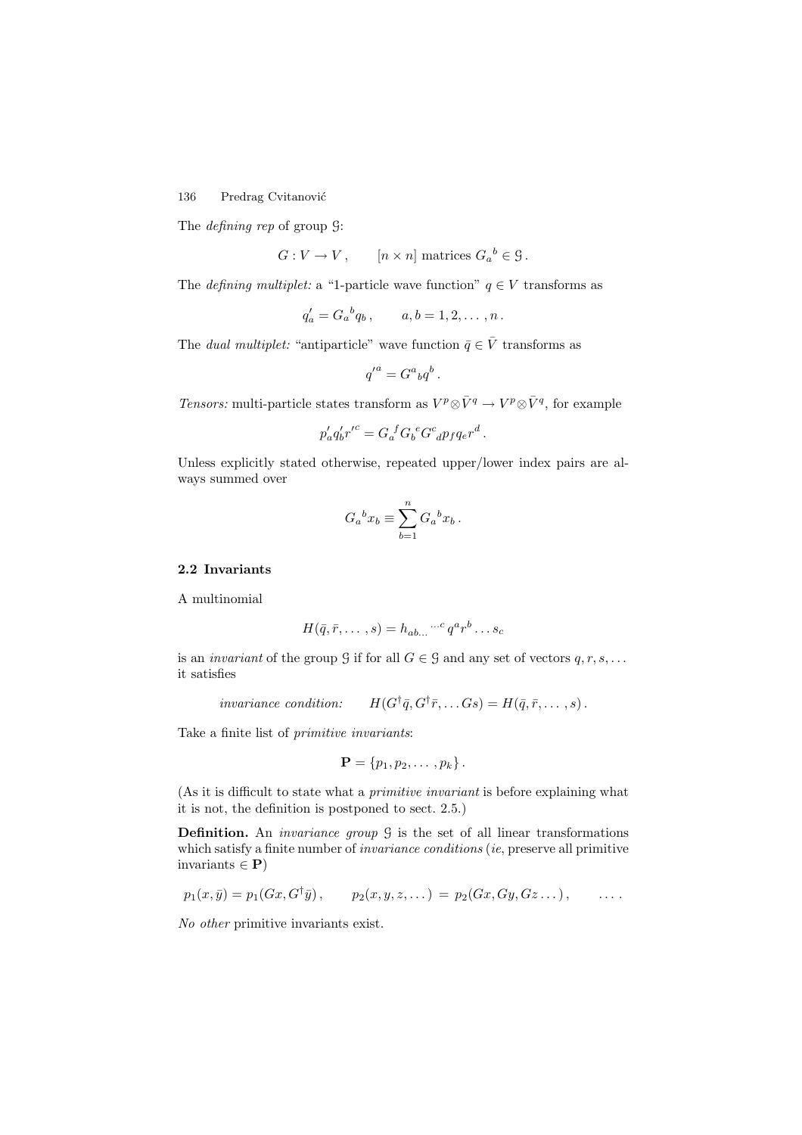The defining rep of group G:

 $G: V \to V$ ,  $[n \times n]$  matrices  $G_a{}^b \in \mathcal{G}$ .

The *defining multiplet*: a "1-particle wave function"  $q \in V$  transforms as

$$
q'_a = G_a{}^b q_b
$$
,  $a, b = 1, 2, ..., n$ .

The *dual multiplet:* "antiparticle" wave function  $\bar{q} \in \bar{V}$  transforms as

$$
{q'}^a=G^a{}_bq^b\,.
$$

Tensors: multi-particle states transform as  $V^p \otimes \bar{V}^q \to V^p \otimes \bar{V}^q$ , for example

$$
p'_a q'_b {r'}^c = G_a^{\ f} G_b^{\ e} G^c_{\ d} p_f q_e r^d \, .
$$

Unless explicitly stated otherwise, repeated upper/lower index pairs are always summed over

$$
G_a{}^b x_b \equiv \sum_{b=1}^n G_a{}^b x_b \, .
$$

# **2.2 Invariants**

A multinomial

$$
H(\bar{q}, \bar{r}, \dots, s) = h_{ab\dots} \cdots^c q^a r^b \dots s_c
$$

is an *invariant* of the group G if for all  $G \in \mathcal{G}$  and any set of vectors  $q, r, s, \ldots$ it satisfies

invariance condition: 
$$
H(G^{\dagger}\bar{q}, G^{\dagger}\bar{r},...Gs) = H(\bar{q}, \bar{r},...,s)
$$
.

Take a finite list of primitive invariants:

$$
\mathbf{P} = \{p_1, p_2, \ldots, p_k\}.
$$

(As it is difficult to state what a primitive invariant is before explaining what it is not, the definition is postponed to sect. 2.5.)

**Definition.** An *invariance group*  $\mathcal{G}$  is the set of all linear transformations which satisfy a finite number of *invariance conditions* (*ie*, preserve all primitive invariants  $\in$  **P**)

$$
p_1(x,\bar{y})=p_1(Gx,G^{\dagger}\bar{y}), \qquad p_2(x,y,z,...)=p_2(Gx,Gy,Gz...), \qquad \ldots
$$

No other primitive invariants exist.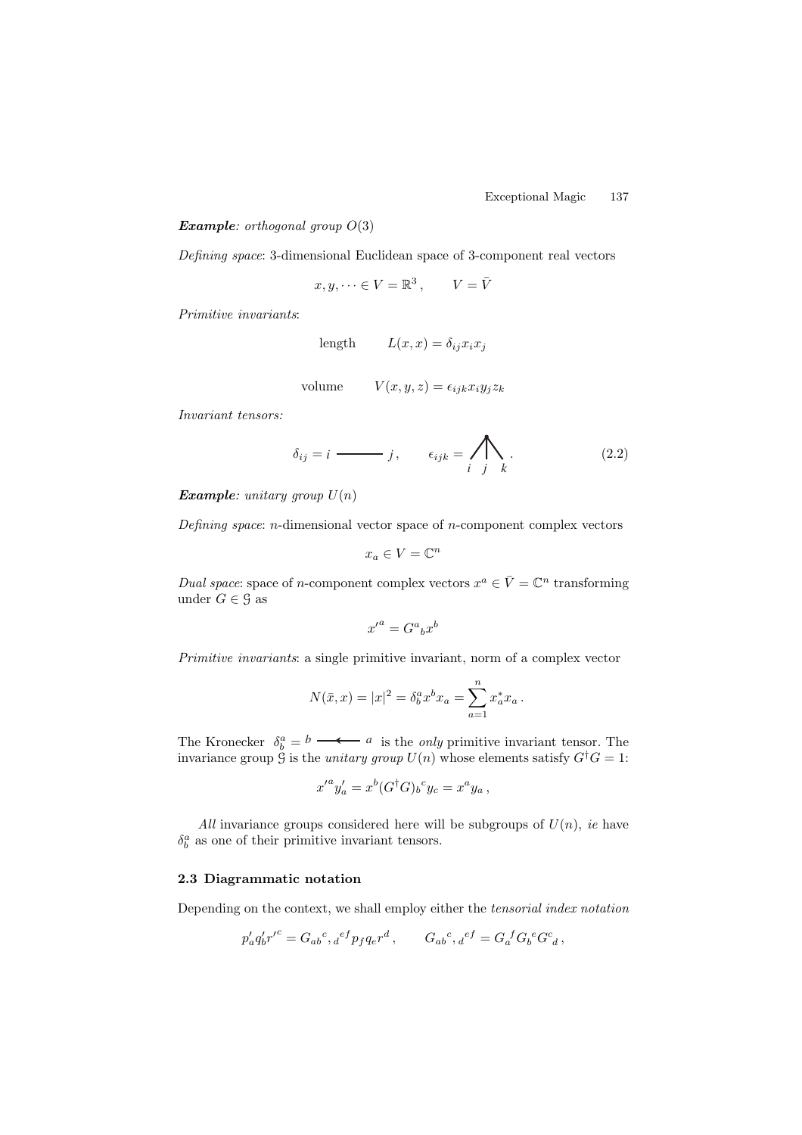#### *Example: orthogonal group*  $O(3)$

Defining space: 3-dimensional Euclidean space of 3-component real vectors

$$
x, y, \dots \in V = \mathbb{R}^3, \qquad V = \overline{V}
$$

Primitive invariants:

$$
length \qquad L(x, x) = \delta_{ij} x_i x_j
$$

volume 
$$
V(x, y, z) = \epsilon_{ijk} x_i y_j z_k
$$

Invariant tensors:

$$
\delta_{ij} = i \longrightarrow j, \qquad \epsilon_{ijk} = \bigwedge_{i} \bigwedge_{j} \tag{2.2}
$$

*Example: unitary group*  $U(n)$ 

Defining space: n-dimensional vector space of n-component complex vectors

$$
x_a \in V = \mathbb{C}^n
$$

Dual space: space of n-component complex vectors  $x^a \in \overline{V} = \mathbb{C}^n$  transforming under  $G \in \mathcal{G}$  as

$$
{x'}^a = G^a{}_b x^b
$$

Primitive invariants: a single primitive invariant, norm of a complex vector

$$
N(\bar{x},x) = |x|^2 = \delta_b^a x^b x_a = \sum_{a=1}^n x_a^* x_a.
$$

The Kronecker  $\delta_b^a = b \longrightarrow a$  is the *only* primitive invariant tensor. The invariance group  $\mathcal G$  is the *unitary group*  $U(n)$  whose elements satisfy  $G^{\dagger}G = 1$ :

$$
{x'}^a y'_a = x^b (G^\dagger G)_b{}^c y_c = x^a y_a \,,
$$

All invariance groups considered here will be subgroups of  $U(n)$ , ie have  $\delta^a_b$  as one of their primitive invariant tensors.

# **2.3 Diagrammatic notation**

Depending on the context, we shall employ either the tensorial index notation

$$
p'_a q'_b {r'}^c = G_{ab}{}^c,{}_d{}^{ef} p_f q_e r^d\,,\qquad G_{ab}{}^c,{}_d{}^{ef} = G_a{}^f G_b{}^e G^c{}_d\,,
$$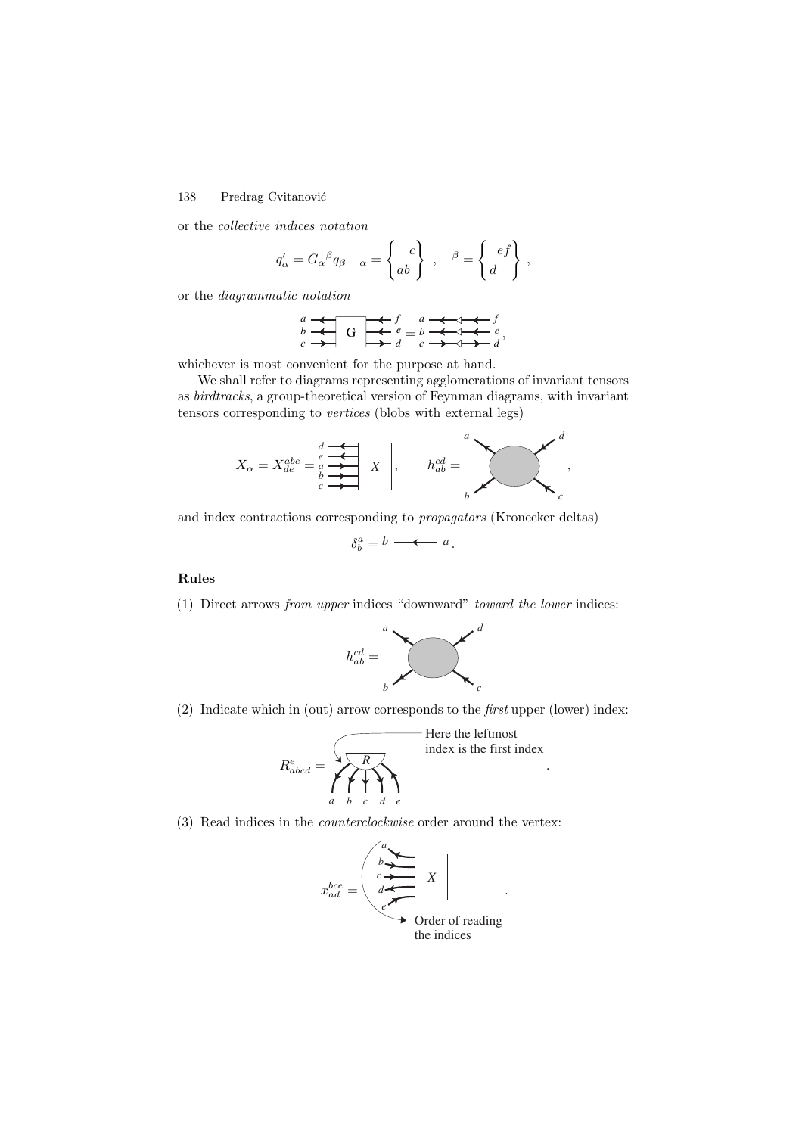or the collective indices notation

$$
q'_{\alpha} = G_{\alpha}{}^{\beta} q_{\beta} \quad_{\alpha} = \begin{Bmatrix} c \\ ab \end{Bmatrix}, \quad \beta = \begin{Bmatrix} ef \\ d \end{Bmatrix},
$$

or the diagrammatic notation

$$
\begin{array}{c}\n a \\
 b\n \end{array}\n \begin{array}{c}\n \leftarrow \\
 G\n \end{array}\n \begin{array}{c}\n \leftarrow \\
 \leftarrow \\
 d\n \end{array}\n \begin{array}{c}\n a\n \end{array}\n \begin{array}{c}\n \leftarrow \\
 \leftarrow \\
 d\n \end{array}\n \begin{array}{c}\n \leftarrow \\
 \leftarrow \\
 d\n \end{array}\n \end{array}
$$

whichever is most convenient for the purpose at hand.

We shall refer to diagrams representing agglomerations of invariant tensors as birdtracks, a group-theoretical version of Feynman diagrams, with invariant tensors corresponding to vertices (blobs with external legs)



and index contractions corresponding to propagators (Kronecker deltas)

$$
\delta_b^a = b \longrightarrow a
$$

## **Rules**

(1) Direct arrows from upper indices "downward" toward the lower indices:



(2) Indicate which in (out) arrow corresponds to the first upper (lower) index:

Re abcd = *a bcd e* index is the first index Here the leftmost *R* .

(3) Read indices in the counterclockwise order around the vertex:

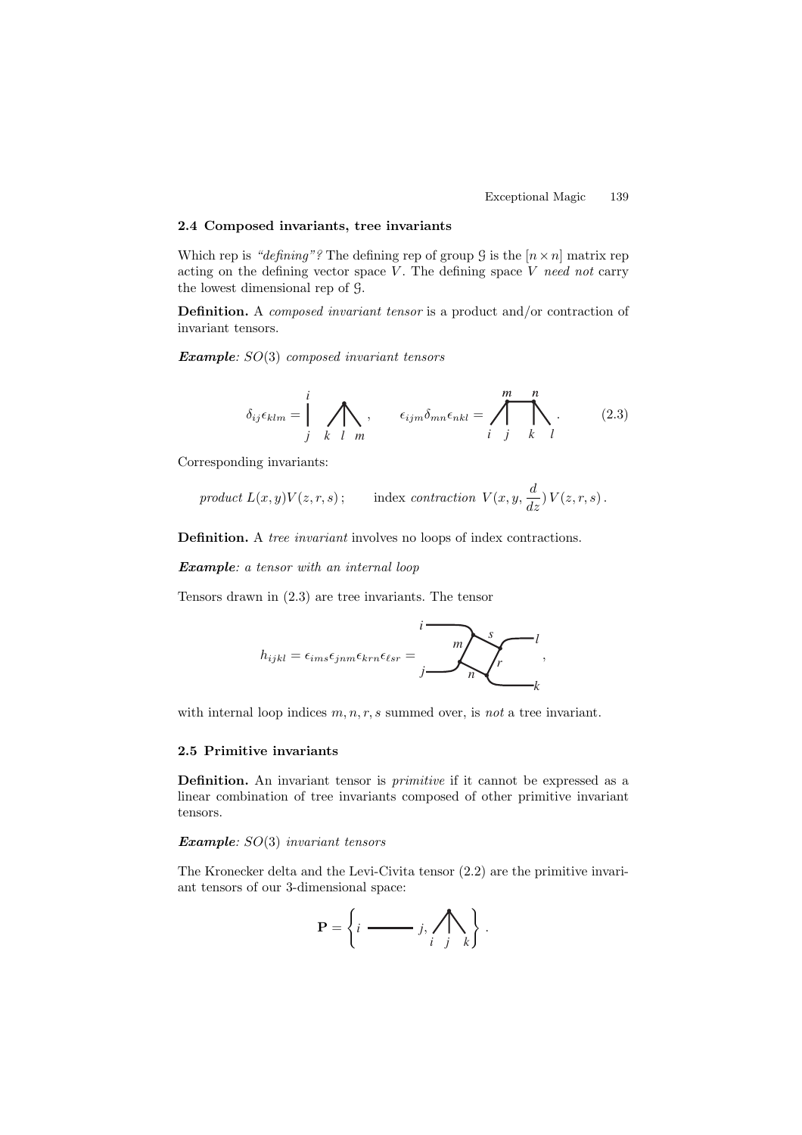## **2.4 Composed invariants, tree invariants**

Which rep is "defining"? The defining rep of group  $\mathcal G$  is the  $[n \times n]$  matrix rep acting on the defining vector space  $V$ . The defining space  $V$  need not carry the lowest dimensional rep of G.

**Definition.** A composed invariant tensor is a product and/or contraction of invariant tensors.

*Example*: SO(3) composed invariant tensors

$$
\delta_{ij}\epsilon_{klm} = \int\limits_{j}^{i} \sum\limits_{k \ l} m, \qquad \epsilon_{ijm}\delta_{mn}\epsilon_{nkl} = \int\limits_{i}^{m} \sum\limits_{j}^{n} . \qquad (2.3)
$$

Corresponding invariants:

$$
product L(x,y)V(z,r,s); \qquad \text{index contraction } V(x,y,\frac{d}{dz}) V(z,r,s) \, .
$$

**Definition.** A tree invariant involves no loops of index contractions.

*Example*: a tensor with an internal loop

Tensors drawn in (2.3) are tree invariants. The tensor

$$
h_{ijkl} = \epsilon_{ims}\epsilon_{jnm}\epsilon_{km}\epsilon_{lsr} = \frac{1}{j} \sum_{n}^{s} \frac{l}{k},
$$

with internal loop indices  $m, n, r, s$  summed over, is not a tree invariant.

## **2.5 Primitive invariants**

**Definition.** An invariant tensor is primitive if it cannot be expressed as a linear combination of tree invariants composed of other primitive invariant tensors.

# *Example*: SO(3) invariant tensors

The Kronecker delta and the Levi-Civita tensor (2.2) are the primitive invariant tensors of our 3-dimensional space:

$$
\mathbf{P} = \left\{ i \longrightarrow j, \bigwedge_{i} \bigwedge_{j} k \right\}.
$$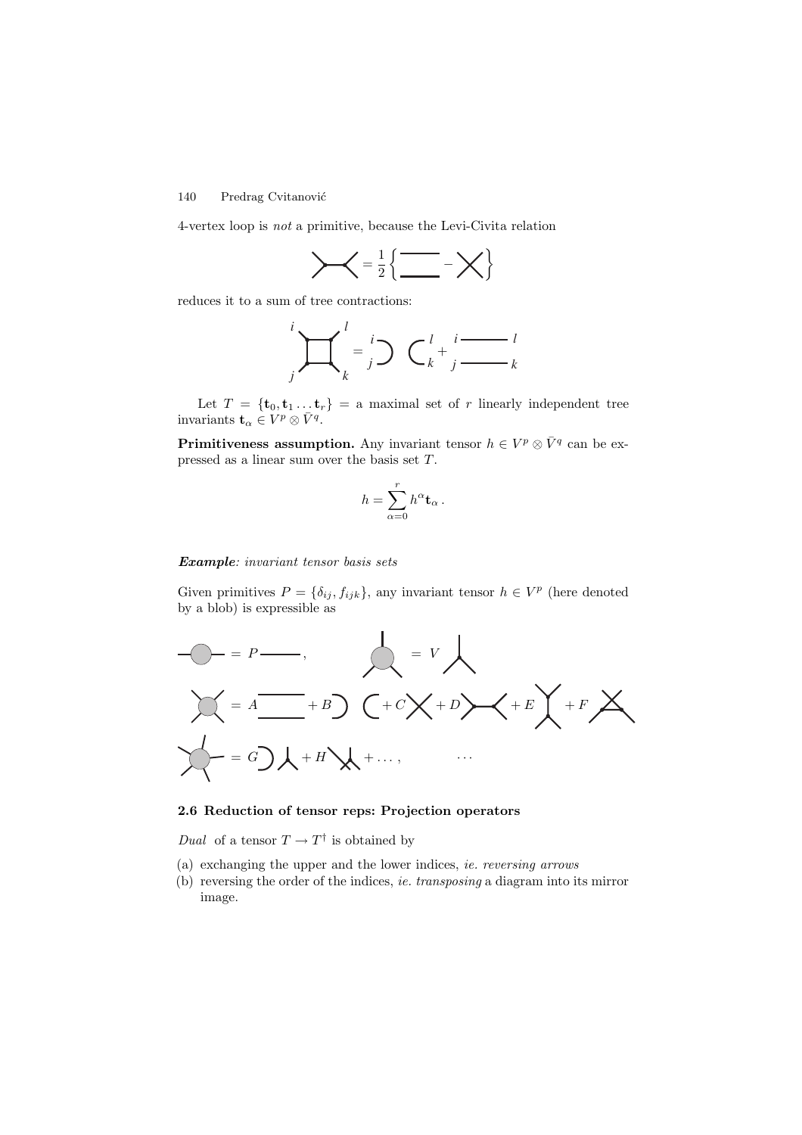4-vertex loop is not a primitive, because the Levi-Civita relation



reduces it to a sum of tree contractions:

$$
\int_{j}^{i} \prod_{k}^{l} = \int_{j}^{i} \bigcirc \bigcirc \bigcirc_{k}^{l} + \int_{j}^{i} \frac{1}{\cdot \cdot \cdot \cdot} \bigcirc_{k}
$$

Let  $T = {\mathbf{t}_0, \mathbf{t}_1 ... \mathbf{t}_r} = \text{a maximal set of } r \text{ linearly independent tree}$ invariants  $\mathbf{t}_{\alpha} \in V^p \otimes \bar{V}^q$ .

**Primitiveness assumption.** Any invariant tensor  $h \in V^p \otimes \overline{V}^q$  can be expressed as a linear sum over the basis set T.

$$
h=\sum_{\alpha=0}^r h^\alpha \mathbf{t}_\alpha\,.
$$

#### *Example*: invariant tensor basis sets

Given primitives  $P = \{\delta_{ij}, f_{ijk}\}\$ , any invariant tensor  $h \in V^p$  (here denoted by a blob) is expressible as



# **2.6 Reduction of tensor reps: Projection operators**

Dual of a tensor  $T \to T^{\dagger}$  is obtained by

- (a) exchanging the upper and the lower indices, ie. reversing arrows
- (b) reversing the order of the indices, ie. transposing a diagram into its mirror image.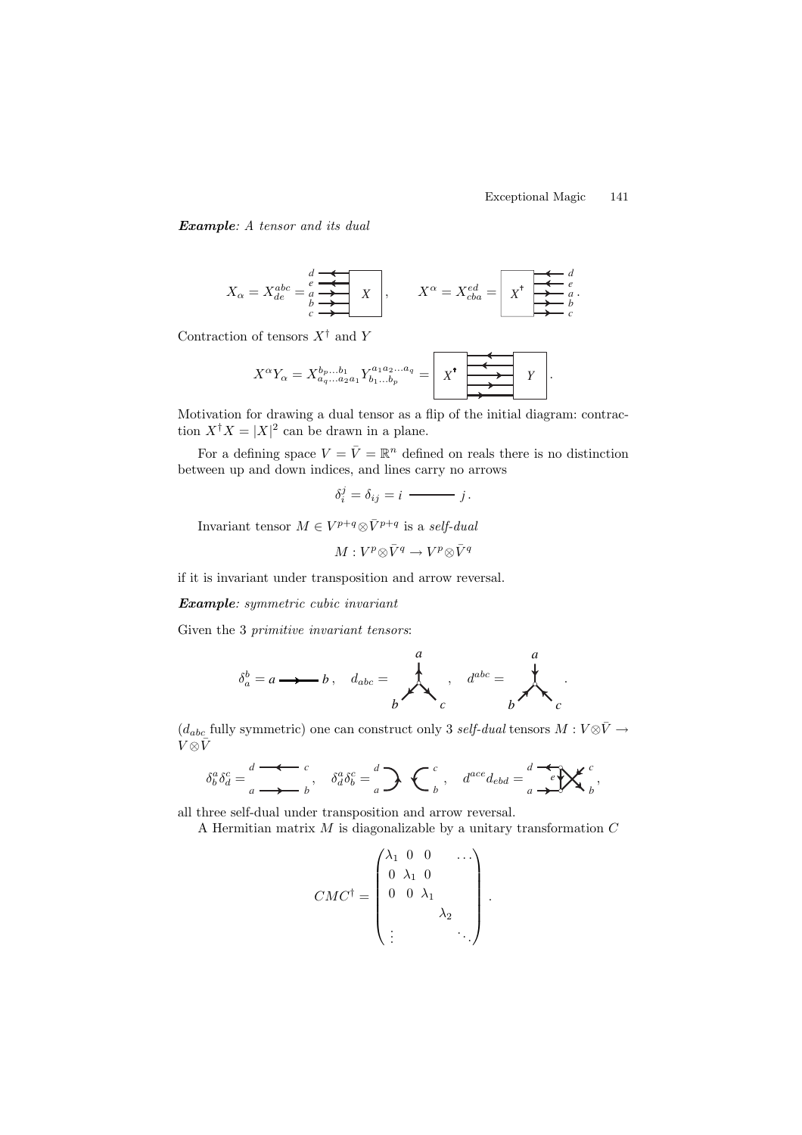#### Exceptional Magic 141

.

*Example*: A tensor and its dual

$$
X_{\alpha} = X_{de}^{abc} = \begin{matrix} \downarrow & \bullet & \bullet \\ \downarrow & \bullet & \bullet \\ \downarrow & \bullet & \bullet \end{matrix} \quad X \quad , \qquad X^{\alpha} = X_{cba}^{ed} = \begin{matrix} \star & \star & \downarrow \\ X^{\dagger} & \star & \downarrow \\ \hline \star & \downarrow & \downarrow \\ \hline \star & \downarrow & \downarrow \end{matrix} \quad \begin{matrix} \star & \downarrow & \downarrow \\ \star & \downarrow & \downarrow & \downarrow \\ \hline \star & \downarrow & \downarrow & \downarrow \\ \hline \star & \downarrow & \downarrow & \downarrow \end{matrix}
$$

Contraction of tensors  $X^{\dagger}$  and Y

XαY<sup>α</sup> = Xbp...b<sup>1</sup> <sup>a</sup>q...a2a<sup>1</sup> <sup>Y</sup> <sup>a</sup>1a2...a<sup>q</sup> <sup>b</sup>1...b<sup>p</sup> = *X Y* .

Motivation for drawing a dual tensor as a flip of the initial diagram: contraction  $X^{\dagger} X = |X|^2$  can be drawn in a plane.

For a defining space  $V = \overline{V} = \mathbb{R}^n$  defined on reals there is no distinction between up and down indices, and lines carry no arrows

$$
\delta_i^j = \delta_{ij} = i \longrightarrow j.
$$

Invariant tensor  $M \in V^{p+q} \otimes \bar{V}^{p+q}$  is a self-dual

$$
M: V^p\!\otimes\!\bar V^q \to V^p\!\otimes\!\bar V^q
$$

if it is invariant under transposition and arrow reversal.

*Example*: symmetric cubic invariant

Given the 3 primitive invariant tensors:

$$
\delta_a^b = a \longrightarrow b \,, \quad d_{abc} = \n\begin{matrix}\n\vdots & \vdots & \vdots \\
\downarrow & \downarrow & \vdots \\
b & \ddots & \vdots \\
b & \ddots & \vdots \\
c & \ddots & \ddots\n\end{matrix}
$$

 $(d_{abc}$  fully symmetric) one can construct only 3 self-dual tensors  $M: V \otimes \overline{V} \rightarrow$  $V{\mathord{ \otimes } } \bar V$ 

$$
\delta^a_b \delta^c_d = \frac{d}{a} \stackrel{\bullet}{\longrightarrow} \frac{c}{b}, \quad \delta^a_d \delta^c_b = \frac{d}{a} \sum \left\{ \begin{array}{cc} c \\ b \end{array}, \quad d^{ace} d_{ebd} = \frac{d}{a} \stackrel{\bullet}{\longrightarrow} \mathbb{X}^c \\ b,
$$

all three self-dual under transposition and arrow reversal.

A Hermitian matrix  $M$  is diagonalizable by a unitary transformation  $C$ 

$$
CMC^{\dagger} = \begin{pmatrix} \lambda_1 & 0 & 0 & & \dots \\ 0 & \lambda_1 & 0 & & \\ 0 & 0 & \lambda_1 & & \\ & & & \lambda_2 & \\ \vdots & & & & \ddots \end{pmatrix}
$$

.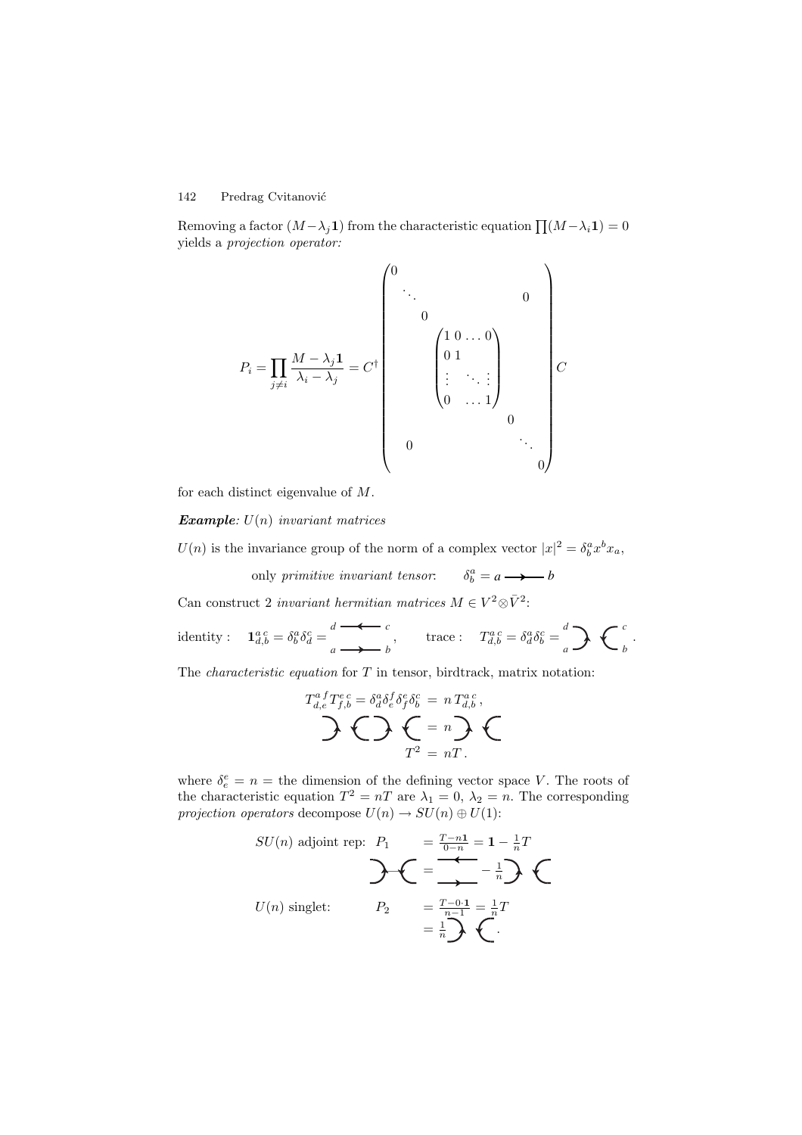Removing a factor  $(M-\lambda_i\mathbf{1})$  from the characteristic equation  $\prod (M-\lambda_i\mathbf{1})=0$ yields a projection operator:

P<sup>i</sup> = j=i M − λj**1** λ<sup>i</sup> − λ<sup>j</sup> = C† 0 ... <sup>0</sup> 0 1 0 ... 0 0 1 . . . ... . . . 0 ... 1 0 <sup>0</sup> ... 0 C

for each distinct eigenvalue of M.

*Example:*  $U(n)$  *invariant matrices* 

 $U(n)$  is the invariance group of the norm of a complex vector  $|x|^2 = \delta_b^a x^b x_a$ ,

only primitive invariant tensor:  $\delta_b^a = a \longrightarrow b$ 

Can construct 2 *invariant hermitian matrices M* ∈  $V^2 \otimes \bar{V}^2$ :

identity :  $\mathbf{1}_{d,b}^{a \ c} = \delta_b^a \delta_d^c = \frac{d}{a} \longrightarrow b$ , trace :  $T_{d,b}^{a \ c} = \delta_d^a \delta_b^c = \frac{d}{a} \sum \Bigg\{ \int b \delta_b^c = \int a \delta_b^c \delta_b^c = \int b \delta_b^c \delta_b^c = \int b \delta_b^c \delta_b^c = \int b \delta_b^c \delta_b^c = \int b \delta_b^c \delta_b^c = \int b \delta_b^c \delta_b^c = \int b \delta_b^c \delta_b^c = \int b \delta_b^c \delta_b^c = \int b \$  $\overrightarrow{a}$ 

The *characteristic equation* for  $T$  in tensor, birdtrack, matrix notation:

$$
T_{d,e}^{a}T_{f,b}^{e} = \delta_a^a \delta_e^f \delta_f^e \delta_b^c = n T_{d,b}^{a,c},
$$
  
 
$$
\sum T^2 = nT.
$$

where  $\delta_e^e = n =$  the dimension of the defining vector space V. The roots of the characteristic equation  $T^2 = nT$  are  $\lambda_1 = 0$ ,  $\lambda_2 = n$ . The corresponding *projection operators* decompose  $U(n) \to SU(n) \oplus U(1)$ :

$$
SU(n) \text{ adjoint rep: } P_1 = \frac{T-n1}{0-n} = 1 - \frac{1}{n}T
$$
  

$$
U(n) \text{ singlet: } P_2 = \frac{T-0.1}{n-1} = \frac{1}{n}T
$$
  

$$
= \frac{1}{n}\sum_{n=1}^{n} \left( \frac{1}{n} \right)^n
$$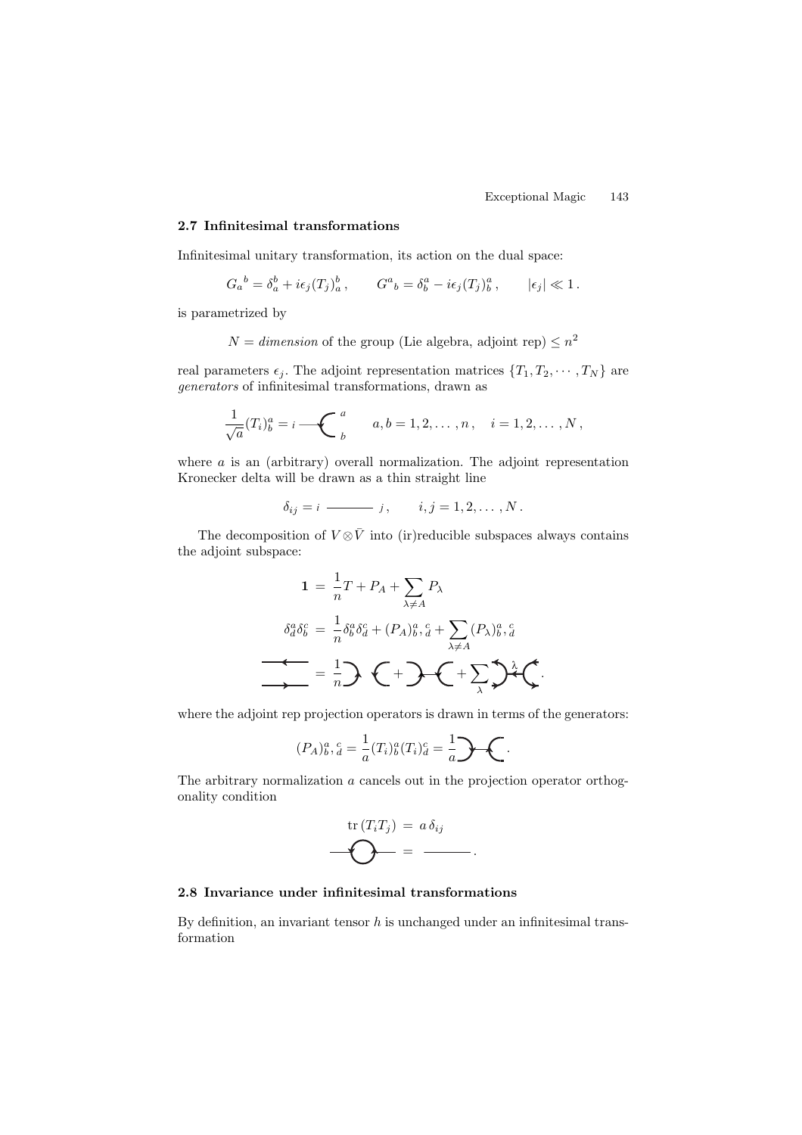#### **2.7 Infinitesimal transformations**

Infinitesimal unitary transformation, its action on the dual space:

$$
G_a{}^b = \delta_a^b + i\epsilon_j (T_j)_a^b, \qquad G^a{}_b = \delta_b^a - i\epsilon_j (T_j)_b^a, \qquad |\epsilon_j| \ll 1.
$$

is parametrized by

$$
N = dimension
$$
 of the group (Lie algebra, adjoint rep $) \leq n^2$ 

real parameters  $\epsilon_j$ . The adjoint representation matrices  $\{T_1, T_2, \cdots, T_N\}$  are generators of infinitesimal transformations, drawn as

$$
\frac{1}{\sqrt{a}}(T_i)^a_b = i \sum_{b}^{a} a, b = 1, 2, \dots, n, \quad i = 1, 2, \dots, N,
$$

where  $\alpha$  is an (arbitrary) overall normalization. The adjoint representation Kronecker delta will be drawn as a thin straight line

$$
\delta_{ij}=i \longrightarrow j, \qquad i,j=1,2,\ldots,N.
$$

The decomposition of  $V \otimes \overline{V}$  into (ir)reducible subspaces always contains the adjoint subspace:

$$
1 = \frac{1}{n}T + P_A + \sum_{\lambda \neq A} P_{\lambda}
$$

$$
\delta_a^a \delta_b^c = \frac{1}{n} \delta_b^a \delta_a^c + (P_A)_{b}^a \delta_a^c + \sum_{\lambda \neq A} (P_\lambda)_{b}^a \delta_a^c
$$

$$
= \frac{1}{n} \sum \left(1 + \sum_{\lambda} \sum_{\lambda} \delta_a^c \right)
$$

where the adjoint rep projection operators is drawn in terms of the generators:

$$
(P_A)^{a \ c}_{b \, d} = \frac{1}{a} (T_i)^{a}_{b} (T_i)^{c}_{d} = \frac{1}{a} \cdot \cdot \cdot
$$

The arbitrary normalization a cancels out in the projection operator orthogonality condition

$$
\mathbf{tr}(T_iT_j) = a \,\delta_{ij}
$$

$$
\mathbf{O} = \mathbf{O}.
$$

## **2.8 Invariance under infinitesimal transformations**

By definition, an invariant tensor  $h$  is unchanged under an infinitesimal transformation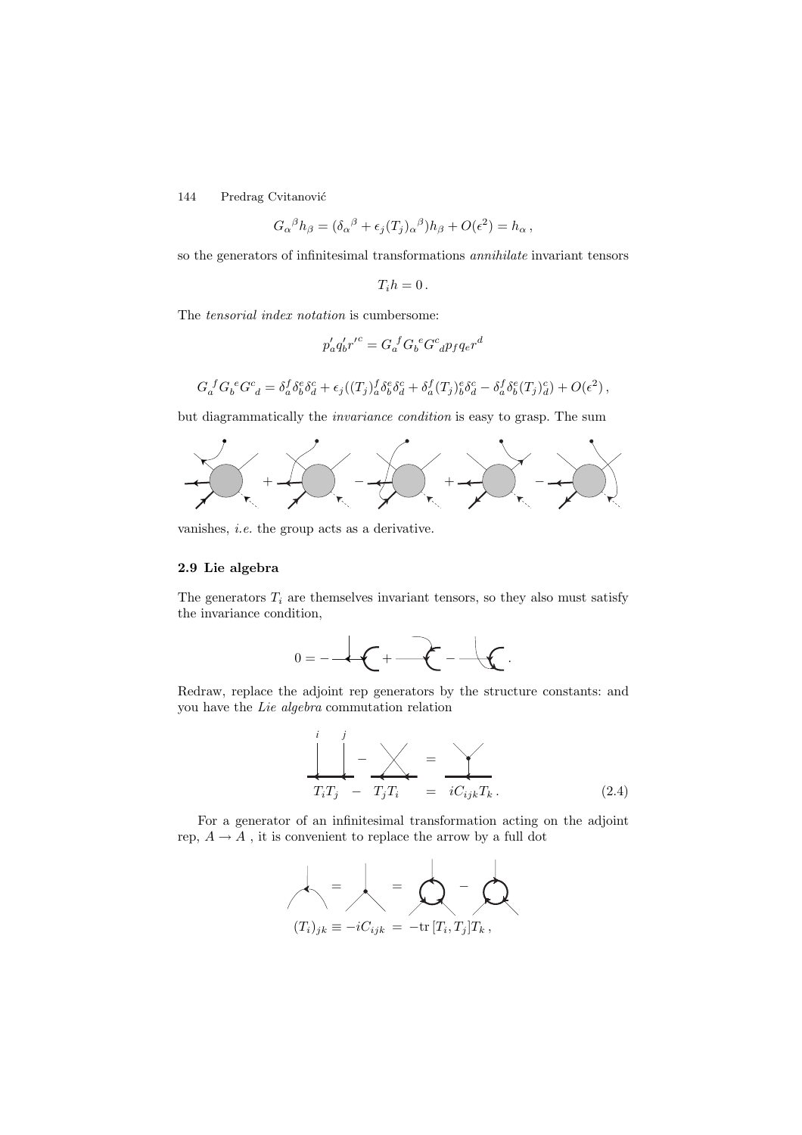$$
G_{\alpha}{}^{\beta}h_{\beta} = (\delta_{\alpha}{}^{\beta} + \epsilon_j(T_j)_{\alpha}{}^{\beta})h_{\beta} + O(\epsilon^2) = h_{\alpha},
$$

so the generators of infinitesimal transformations annihilate invariant tensors

$$
T_i h = 0.
$$

The tensorial index notation is cumbersome:

$$
p_a^\prime q_b^\prime {r^\prime}^c = G_a^{~f} G_b^{~e} G^c_{~d} p_f q_e r^d
$$

$$
G_a^{\ f} G_b^{\ e} G^c_{\ d} = \delta_a^f \delta_b^e \delta_d^c + \epsilon_j ((T_j)_a^f \delta_b^e \delta_d^c + \delta_a^f (T_j)_b^e \delta_d^c - \delta_a^f \delta_b^e (T_j)_d^c) + O(\epsilon^2) \,,
$$

but diagrammatically the invariance condition is easy to grasp. The sum



vanishes, i.e. the group acts as a derivative.

# **2.9 Lie algebra**

The generators  $T_i$  are themselves invariant tensors, so they also must satisfy the invariance condition,



Redraw, replace the adjoint rep generators by the structure constants: and you have the Lie algebra commutation relation

$$
\frac{\int_{T_i T_j}^{i} - \sqrt{\frac{1}{T_i T_i}}}{T_i T_j} = \frac{\sqrt{\frac{1}{T_i}}}{i C_{ijk} T_k}.
$$
\n(2.4)

For a generator of an infinitesimal transformation acting on the adjoint rep,  $A \rightarrow A$ , it is convenient to replace the arrow by a full dot

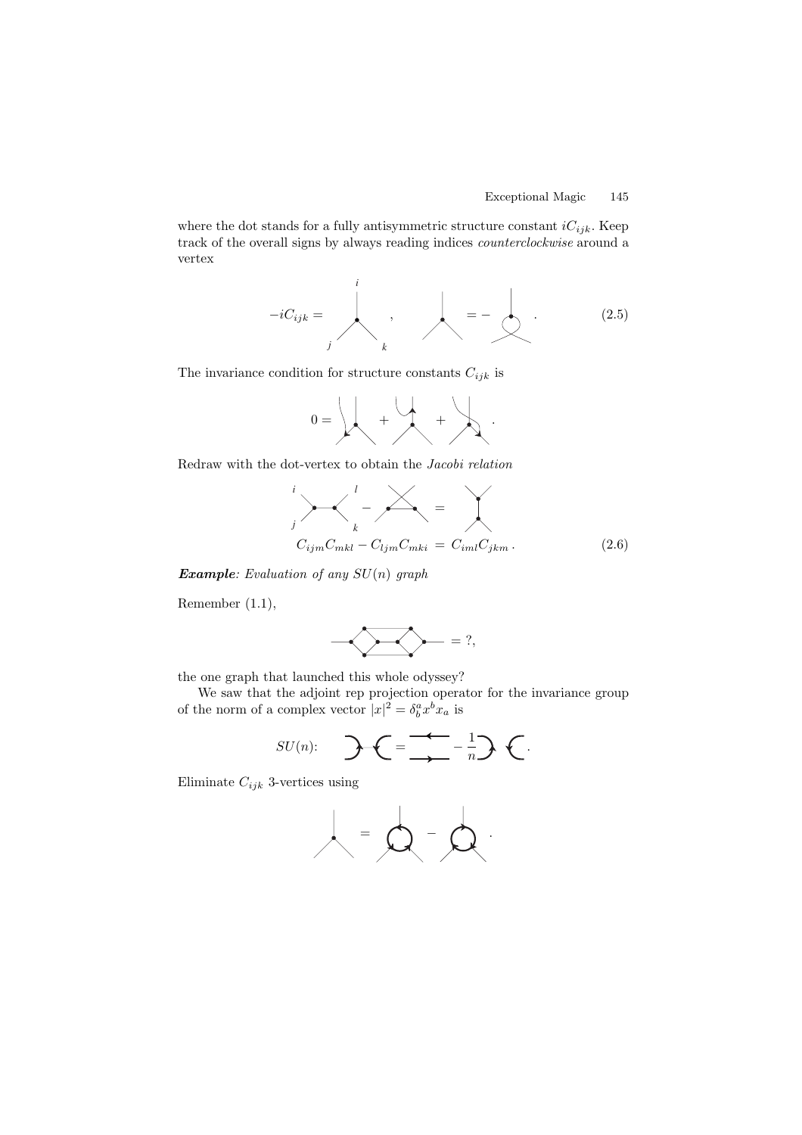where the dot stands for a fully antisymmetric structure constant  $iC_{ijk}$ . Keep track of the overall signs by always reading indices counterclockwise around a vertex

$$
-iC_{ijk} = \qquad \qquad , \qquad \qquad = -\qquad \qquad , \qquad (2.5)
$$

The invariance condition for structure constants  $C_{ijk}$  is

$$
0 = \left\downarrow \leftarrow + \left\downarrow \leftarrow + \left\downarrow \rightarrow \right.
$$

Redraw with the dot-vertex to obtain the Jacobi relation

$$
\sum_{j}^{i} \sum_{k}^{l} - \sum_{ljm}^{l} = \sum_{i}^{l}
$$
  
\n
$$
C_{ijm}C_{mkl} - C_{ljm}C_{mki} = C_{iml}C_{jkm}.
$$
 (2.6)

*Example*: Evaluation of any SU(n) graph

Remember (1.1),

$$
\underbrace{\qquad \qquad } \qquad \qquad } \qquad \qquad = ? ,
$$

the one graph that launched this whole odyssey?

We saw that the adjoint rep projection operator for the invariance group of the norm of a complex vector  $|x|^2 = \delta_b^a x^b x_a$  is

$$
SU(n): \quad \sum \bigg(=\frac{1}{\sqrt{2}}-\frac{1}{n}\bigg) \bigg\{.
$$

Eliminate  $C_{ijk}$  3-vertices using

$$
\mathcal{A} = \mathcal{A} - \mathcal{A}
$$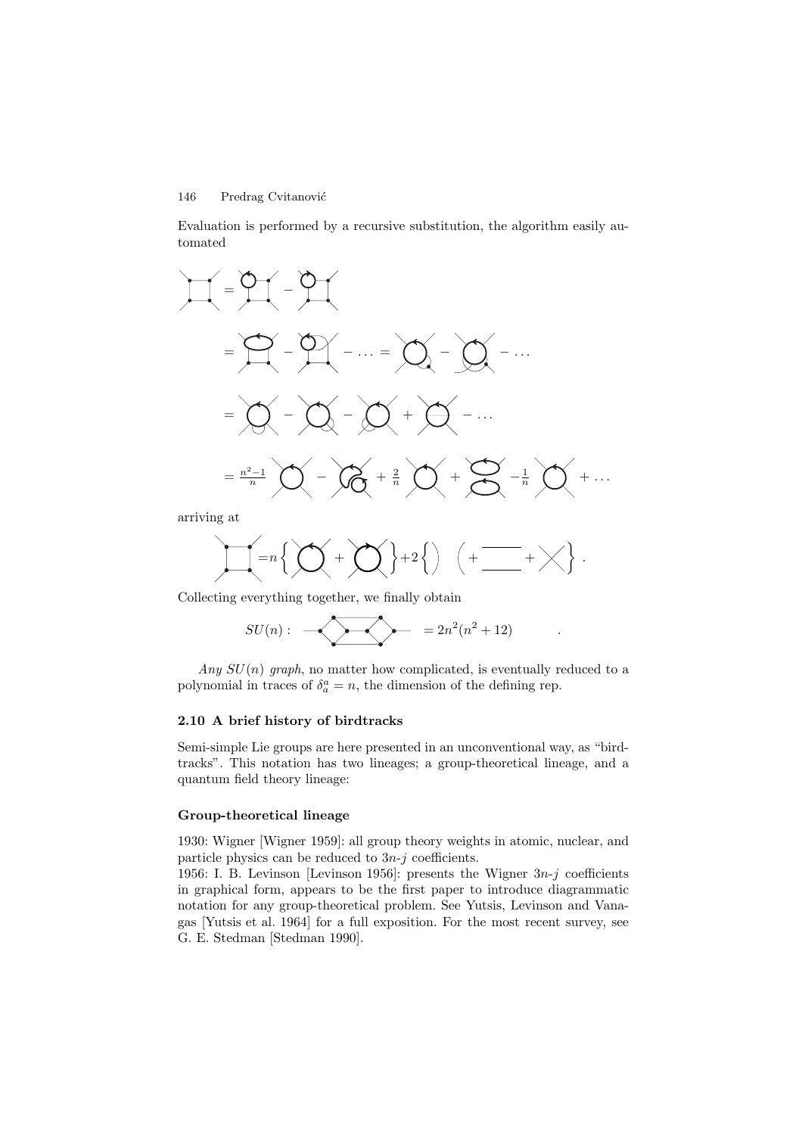Evaluation is performed by a recursive substitution, the algorithm easily automated



arriving at

$$
\prod = n \left\{ \bigotimes_{i=1}^{n} \left\{ \bigotimes_{i=1}^{n} \left\{ \bigotimes_{i=1}^{n} \left\{ \bigotimes_{i=1}^{n} \left\{ \bigotimes_{i=1}^{n} \left\{ \bigotimes_{i=1}^{n} \left\{ \bigotimes_{i=1}^{n} \left\{ \bigotimes_{i=1}^{n} \left\{ \bigotimes_{i=1}^{n} \left\{ \bigotimes_{i=1}^{n} \left\{ \bigotimes_{i=1}^{n} \left\{ \bigotimes_{i=1}^{n} \left\{ \bigotimes_{i=1}^{n} \left\{ \bigotimes_{i=1}^{n} \left\{ \bigotimes_{i=1}^{n} \left\{ \bigotimes_{i=1}^{n} \left\{ \bigotimes_{i=1}^{n} \left\{ \bigotimes_{i=1}^{n} \left\{ \bigotimes_{i=1}^{n} \left\{ \bigotimes_{i=1}^{n} \left\{ \bigotimes_{i=1}^{n} \left\{ \bigotimes_{i=1}^{n} \left\{ \bigotimes_{i=1}^{n} \left\{ \bigotimes_{i=1}^{n} \left\{ \bigotimes_{i=1}^{n} \left\{ \bigotimes_{i=1}^{n} \left\{ \bigotimes_{i=1}^{n} \left\{ \bigotimes_{i=1}^{n} \left\{ \bigotimes_{i=1}^{n} \left\{ \bigotimes_{i=1}^{n} \left\{ \bigotimes_{i=1}^{n} \left\{ \bigotimes_{i=1}^{n} \left\{ \bigotimes_{i=1}^{n} \left\{ \bigotimes_{i=1}^{n} \left\{ \bigotimes_{i=1}^{n} \left\{ \bigotimes_{i=1}^{n} \left\{ \bigotimes_{i=1}^{n} \left\{ \bigotimes_{i=1}^{n} \left\{ \bigotimes_{i=1}^{n} \left\{ \bigotimes_{i=1}^{n} \left\{ \bigotimes_{i=1}^{n} \left\{ \bigotimes_{i=1}^{n} \left\{ \bigotimes_{i=1}^{n} \left\{ \bigotimes_{i=1}^{n} \left\{ \bigotimes_{i=1}^{n} \left\{ \bigtriangleleft_{i=1}^{n} \left\{ \bigtriangleleft_{i=1}^{n} \left\{
$$

Collecting everything together, we finally obtain

$$
SU(n): \quad \longrightarrow \quad \qquad = 2n^2(n^2+12)\qquad \qquad .
$$

Any  $SU(n)$  graph, no matter how complicated, is eventually reduced to a polynomial in traces of  $\delta_a^a = n$ , the dimension of the defining rep.

#### **2.10 A brief history of birdtracks**

Semi-simple Lie groups are here presented in an unconventional way, as "birdtracks". This notation has two lineages; a group-theoretical lineage, and a quantum field theory lineage:

#### **Group-theoretical lineage**

1930: Wigner [Wigner 1959]: all group theory weights in atomic, nuclear, and particle physics can be reduced to  $3n-j$  coefficients.

1956: I. B. Levinson [Levinson 1956]: presents the Wigner  $3n-j$  coefficients in graphical form, appears to be the first paper to introduce diagrammatic notation for any group-theoretical problem. See Yutsis, Levinson and Vanagas [Yutsis et al. 1964] for a full exposition. For the most recent survey, see G. E. Stedman [Stedman 1990].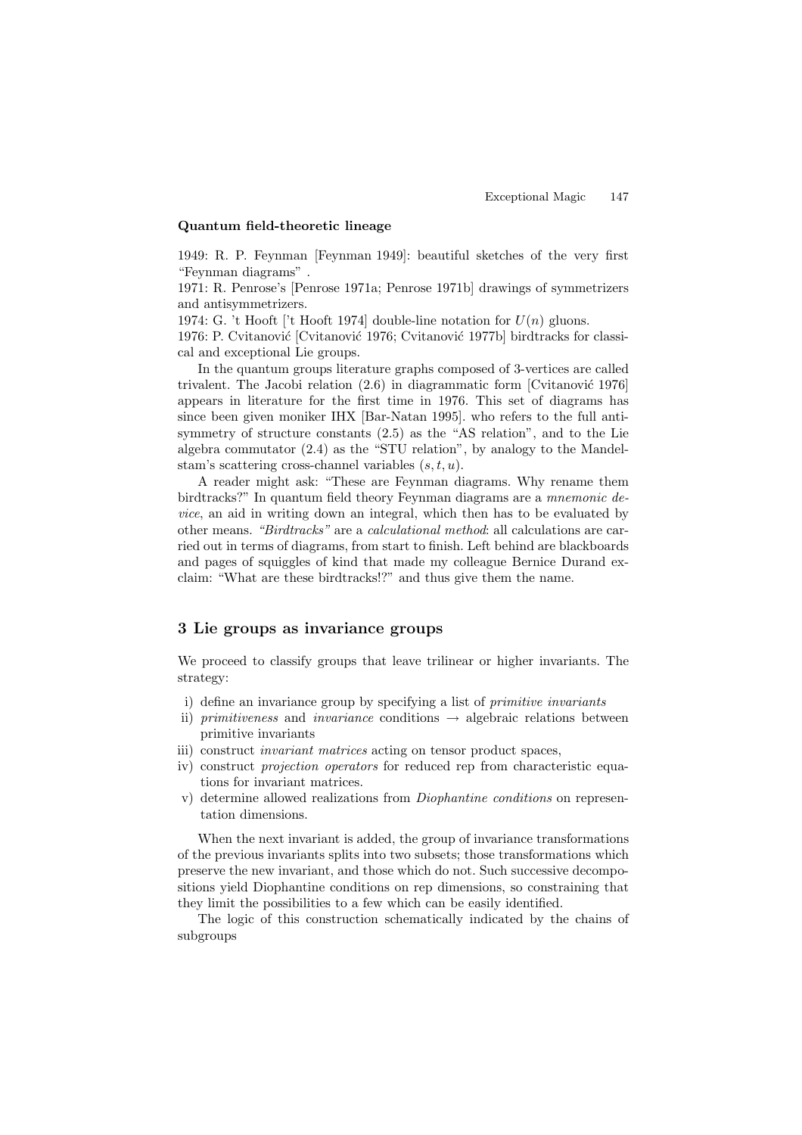# **Quantum field-theoretic lineage**

1949: R. P. Feynman [Feynman 1949]: beautiful sketches of the very first "Feynman diagrams" .

1971: R. Penrose's [Penrose 1971a; Penrose 1971b] drawings of symmetrizers and antisymmetrizers.

1974: G. 't Hooft ['t Hooft 1974] double-line notation for  $U(n)$  gluons.

1976: P. Cvitanović [Cvitanović 1976; Cvitanović 1977b] birdtracks for classical and exceptional Lie groups.

In the quantum groups literature graphs composed of 3-vertices are called trivalent. The Jacobi relation  $(2.6)$  in diagrammatic form [Cvitanović 1976] appears in literature for the first time in 1976. This set of diagrams has since been given moniker IHX [Bar-Natan 1995]. who refers to the full antisymmetry of structure constants (2.5) as the "AS relation", and to the Lie algebra commutator (2.4) as the "STU relation", by analogy to the Mandelstam's scattering cross-channel variables  $(s,t,u)$ .

A reader might ask: "These are Feynman diagrams. Why rename them birdtracks?" In quantum field theory Feynman diagrams are a mnemonic device, an aid in writing down an integral, which then has to be evaluated by other means. "Birdtracks" are a calculational method: all calculations are carried out in terms of diagrams, from start to finish. Left behind are blackboards and pages of squiggles of kind that made my colleague Bernice Durand exclaim: "What are these birdtracks!?" and thus give them the name.

# **3 Lie groups as invariance groups**

We proceed to classify groups that leave trilinear or higher invariants. The strategy:

- i) define an invariance group by specifying a list of primitive invariants
- ii) primitiveness and invariance conditions  $\rightarrow$  algebraic relations between primitive invariants
- iii) construct invariant matrices acting on tensor product spaces,
- iv) construct projection operators for reduced rep from characteristic equations for invariant matrices.
- v) determine allowed realizations from Diophantine conditions on representation dimensions.

When the next invariant is added, the group of invariance transformations of the previous invariants splits into two subsets; those transformations which preserve the new invariant, and those which do not. Such successive decompositions yield Diophantine conditions on rep dimensions, so constraining that they limit the possibilities to a few which can be easily identified.

The logic of this construction schematically indicated by the chains of subgroups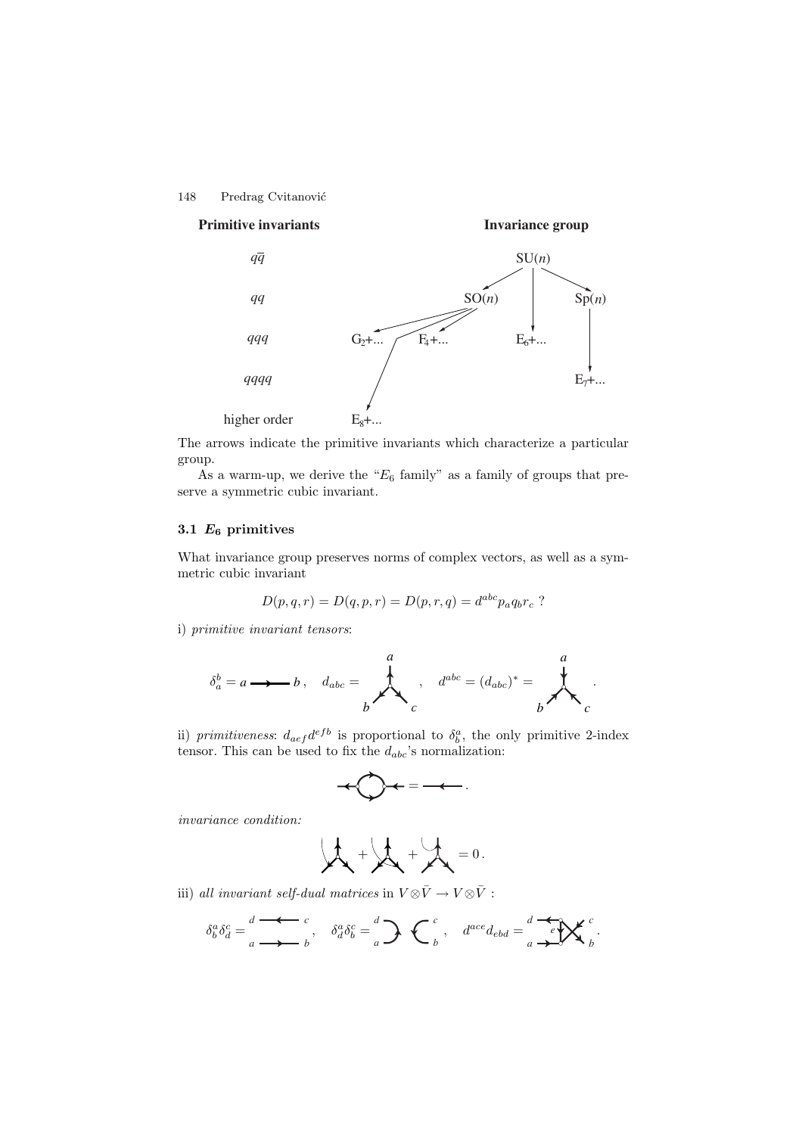





The arrows indicate the primitive invariants which characterize a particular group.

As a warm-up, we derive the " $E_6$  family" as a family of groups that preserve a symmetric cubic invariant.

# **3.1** *E***<sup>6</sup> primitives**

What invariance group preserves norms of complex vectors, as well as a symmetric cubic invariant

$$
D(p, q, r) = D(q, p, r) = D(p, r, q) = d^{abc} p_a q_b r_c ?
$$

i) primitive invariant tensors:

$$
\delta_a^b = a \longrightarrow b \,, \quad d_{abc} = \n\begin{matrix}\n a \\
 b\n\end{matrix}\n\quad , \quad d^{abc} = (d_{abc})^* = \n\begin{matrix}\n a \\
 b\n\end{matrix}\n.
$$

ii) primitiveness:  $d_{aef}d^{efb}$  is proportional to  $\delta_b^a$ , the only primitive 2-index tensor. This can be used to fix the  $d_{abc}$ 's normalization:

$$
+\bigcirc\hspace{-7.7ex}\bigcirc\hspace{-7.7ex}+\hspace{-7.7ex}\bigcirc\hspace{-7.7ex}=\hspace{-7.7ex}-\hspace{-7.7ex}\dots
$$

invariance condition:

$$
\mathbf{A} + \mathbf{A} + \mathbf{A} = 0.
$$

iii) all invariant self-dual matrices in  $V \otimes \bar{V} \to V \otimes \bar{V}$ :

$$
\delta_b^a \delta_d^c = \frac{d}{a} \stackrel{\bullet}{\longrightarrow} \frac{c}{b}, \quad \delta_d^a \delta_b^c = \frac{d}{a} \sum \left\{ \begin{array}{cc} c \\ b \end{array}, \quad d^{ace} d_{ebd} = \frac{d}{a} \stackrel{\bullet}{\longrightarrow} \mathbb{X}^c \right\}.
$$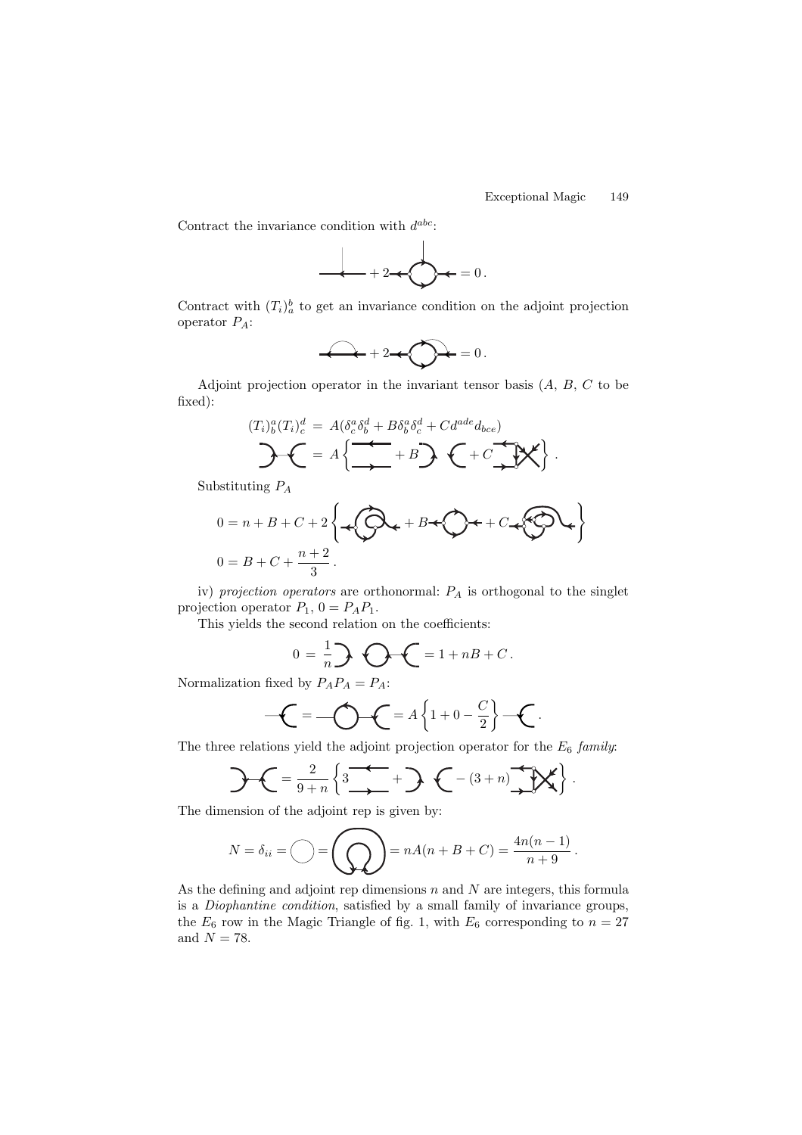Contract the invariance condition with  $d^{abc}$ :



Contract with  $(T_i)_{a}^{b}$  to get an invariance condition on the adjoint projection operator PA:

$$
2 + 2 + \bigotimes = 0.
$$

Adjoint projection operator in the invariant tensor basis  $(A, B, C)$  to be fixed):

$$
(T_i)_b^a(T_i)_c^d = A(\delta_c^a \delta_b^d + B\delta_b^a \delta_c^d + C d^{ade} d_{bce})
$$
  
 
$$
\mathcal{L} = A\left\{\mathcal{L} + B\mathcal{L} + C\mathcal{L}^d\right\}.
$$

Substituting P<sup>A</sup>

$$
0 = n + B + C + 2 \left\{ \bigoplus_{n=1}^{\infty} A_n + B + C + C + C \right\}
$$
  

$$
0 = B + C + \frac{n+2}{3}.
$$

iv) projection operators are orthonormal:  $P_A$  is orthogonal to the singlet projection operator  $P_1$ ,  $0 = P_A P_1$ .

This yields the second relation on the coefficients:

$$
0 = \frac{1}{n} \sum \bigodot \bigodot = 1 + nB + C.
$$

Normalization fixed by  $P_A P_A = P_A$ :

$$
-\mathbf{C} = -\bigcirc \mathbf{C} = A\left\{1 + 0 - \frac{C}{2}\right\} - \mathbf{C}.
$$

The three relations yield the adjoint projection operator for the  $E_6$  family:

$$
\mathcal{L} = \frac{2}{9+n} \left\{ 3 \xrightarrow{2} + \mathcal{L} - (3+n) \xrightarrow{2} \mathbb{K} \right\}.
$$

The dimension of the adjoint rep is given by:

$$
N = \delta_{ii} = \bigcirc = \bigcirc = \bigcirc = nA(n + B + C) = \frac{4n(n-1)}{n+9}.
$$

As the defining and adjoint rep dimensions  $n$  and  $N$  are integers, this formula is a Diophantine condition, satisfied by a small family of invariance groups, the  $E_6$  row in the Magic Triangle of fig. 1, with  $E_6$  corresponding to  $n = 27$ and  $N = 78$ .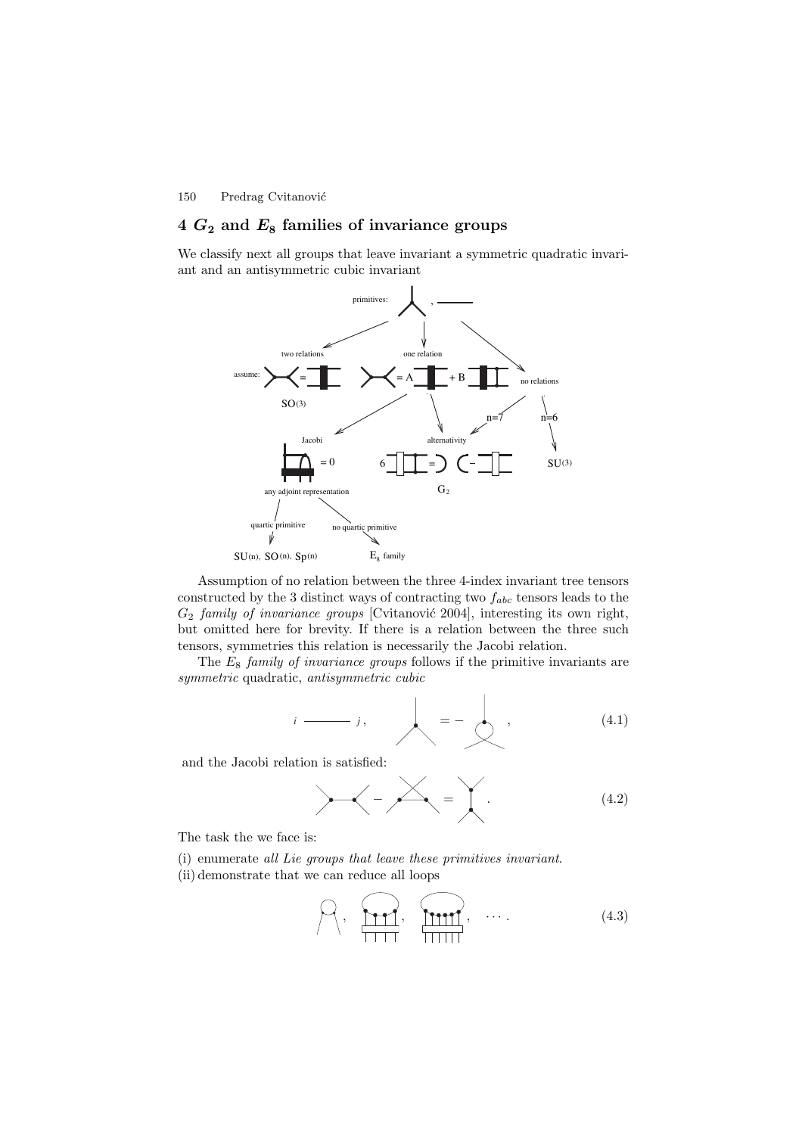# **4** *G***<sup>2</sup> and** *E***<sup>8</sup> families of invariance groups**

We classify next all groups that leave invariant a symmetric quadratic invariant and an antisymmetric cubic invariant



Assumption of no relation between the three 4-index invariant tree tensors constructed by the 3 distinct ways of contracting two  $f_{abc}$  tensors leads to the  $G_2$  family of invariance groups [Cvitanovic 2004], interesting its own right, but omitted here for brevity. If there is a relation between the three such tensors, symmetries this relation is necessarily the Jacobi relation.

The  $E_8$  family of invariance groups follows if the primitive invariants are symmetric quadratic, antisymmetric cubic

$$
i \longrightarrow j, \qquad \qquad \boxed{}
$$
 (4.1)

and the Jacobi relation is satisfied:

− = . (4.2)

The task the we face is:

(i) enumerate all Lie groups that leave these primitives invariant. (ii) demonstrate that we can reduce all loops

$$
\bigcap_{\gamma} \left\{ \bigcap_{\gamma} \left\{ \gamma, \gamma \right\}, \gamma \right\}, \dots \tag{4.3}
$$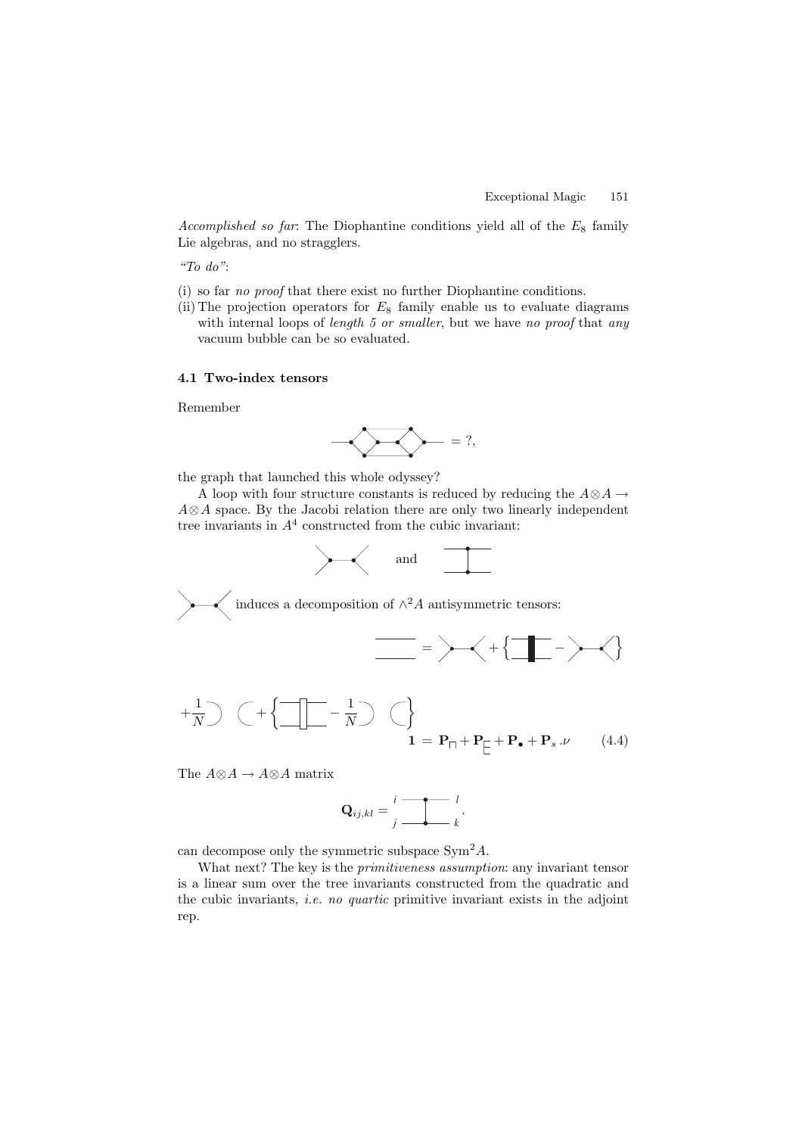Accomplished so far: The Diophantine conditions yield all of the  $E_8$  family Lie algebras, and no stragglers.

"To do":

- (i) so far no proof that there exist no further Diophantine conditions.
- (ii) The projection operators for  $E_8$  family enable us to evaluate diagrams with internal loops of *length 5 or smaller*, but we have no proof that any vacuum bubble can be so evaluated.

#### **4.1 Two-index tensors**

Remember

$$
\bigotimes_{i} \bigotimes_{i} \bigotimes_{j} \bigotimes_{i} \bigotimes_{j} \bigotimes_{j} \bigotimes_{j} \bigotimes_{j} \bigotimes_{j} \bigotimes_{j} \bigotimes_{j} \bigotimes_{j} \bigotimes_{j} \bigotimes_{j} \bigotimes_{j} \bigotimes_{j} \bigotimes_{j} \bigotimes_{j} \bigotimes_{j} \bigotimes_{j} \bigotimes_{j} \bigotimes_{j} \bigotimes_{j} \bigotimes_{j} \bigotimes_{j} \bigotimes_{j} \bigotimes_{j} \bigotimes_{j} \bigotimes_{j} \bigotimes_{j} \bigotimes_{j} \bigotimes_{j} \bigotimes_{j} \bigotimes_{j} \bigotimes_{j} \bigotimes_{j} \bigotimes_{j} \bigotimes_{j} \bigotimes_{j} \bigotimes_{j} \bigotimes_{j} \bigotimes_{j} \bigotimes_{j} \bigotimes_{j} \bigotimes_{j} \bigotimes_{j} \bigotimes_{j} \bigotimes_{j} \bigotimes_{j} \bigotimes_{j} \bigotimes_{j} \bigotimes_{j} \bigotimes_{j} \bigotimes_{j} \bigotimes_{j} \bigotimes_{j} \bigotimes_{j} \bigotimes_{j} \bigotimes_{j} \bigotimes_{j} \bigotimes_{j} \bigotimes_{j} \bigotimes_{j} \bigotimes_{j} \bigotimes_{j} \bigotimes_{j} \bigotimes_{j} \bigotimes_{j} \bigotimes_{j} \bigotimes_{j} \bigotimes_{j} \bigotimes_{j} \bigotimes_{j} \bigotimes_{j} \bigotimes_{j} \bigotimes_{j} \bigotimes_{j} \bigotimes_{j} \bigotimes_{j} \bigotimes_{j} \bigotimes_{j} \bigotimes_{j} \bigotimes_{j} \bigotimes_{j} \bigotimes_{j} \bigotimes_{j} \bigotimes_{j} \bigotimes_{j} \bigotimes_{j} \bigotimes_{j} \bigotimes_{j} \bigotimes_{j} \bigotimes_{j} \bigotimes_{j} \bigotimes_{j} \bigotimes_{j} \bigotimes_{j} \bigotimes_{j} \bigotimes_{j} \bigotimes_{j} \bigotimes_{j} \bigotimes_{j} \bigotimes_{j} \bigotimes_{j} \bigotimes_{j} \bigotimes_{j} \bigotimes_{j} \bigotimes_{j} \bigotimes
$$

the graph that launched this whole odyssey?

A loop with four structure constants is reduced by reducing the  $A \otimes A \rightarrow$ A⊗A space. By the Jacobi relation there are only two linearly independent tree invariants in  $A<sup>4</sup>$  constructed from the cubic invariant:





The  $A{\otimes}A \rightarrow A{\otimes}A$  matrix

$$
\mathbf{Q}_{ij,kl} = \begin{array}{c} \mathbf{i} \quad \mathbf{i} \quad l \\ \mathbf{j} \quad \mathbf{j} \quad k \end{array}.
$$

can decompose only the symmetric subspace  $\text{Sym}^2 A$ .

What next? The key is the *primitiveness assumption*: any invariant tensor is a linear sum over the tree invariants constructed from the quadratic and the cubic invariants, i.e. no quartic primitive invariant exists in the adjoint rep.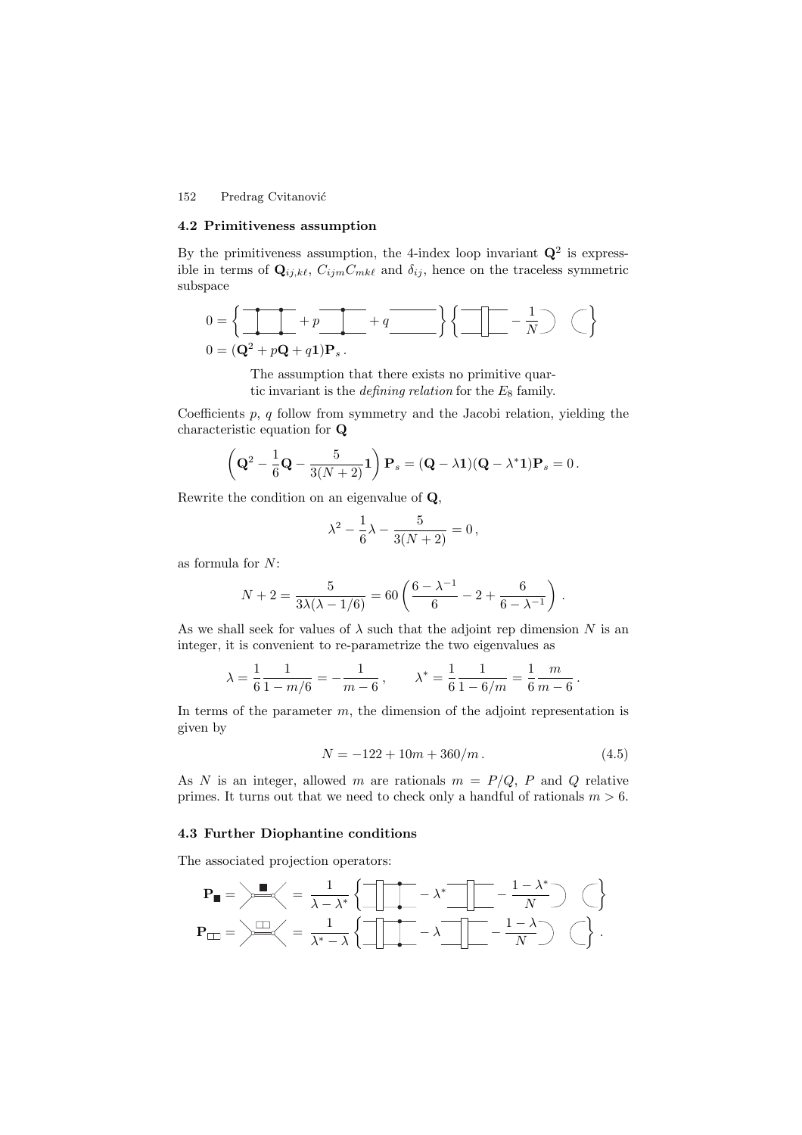#### **4.2 Primitiveness assumption**

By the primitiveness assumption, the 4-index loop invariant  $\mathbf{Q}^2$  is expressible in terms of  $\mathbf{Q}_{ij,k\ell}$ ,  $C_{ijm}C_{mk\ell}$  and  $\delta_{ij}$ , hence on the traceless symmetric subspace

$$
0 = \left\{ \begin{array}{ccc} \bullet & \bullet & \bullet \\ \hline \bullet & \bullet & \bullet \end{array} \right\} + p \begin{array}{ccc} \bullet & \bullet & \bullet \\ \hline \bullet & \bullet & \bullet \end{array} + q \begin{array}{ccc} \bullet & \bullet & \bullet \\ \hline \bullet & \bullet & \bullet \end{array} \right\} \left\{ \begin{array}{ccc} \bullet & \bullet & \bullet \\ \hline \bullet & \bullet & \bullet \end{array} \right\} \begin{array}{ccc} \bullet & \bullet & \bullet \\ \hline \bullet & \bullet & \bullet \end{array} \begin{array}{ccc} \bullet & \bullet & \bullet \\ \hline \bullet & \bullet & \bullet \end{array} \end{array}
$$

The assumption that there exists no primitive quartic invariant is the *defining relation* for the  $E_8$  family.

Coefficients  $p, q$  follow from symmetry and the Jacobi relation, yielding the characteristic equation for **Q**

$$
\left(\mathbf{Q}^2 - \frac{1}{6}\mathbf{Q} - \frac{5}{3(N+2)}\mathbf{1}\right)\mathbf{P}_s = (\mathbf{Q} - \lambda\mathbf{1})(\mathbf{Q} - \lambda^*\mathbf{1})\mathbf{P}_s = 0.
$$

Rewrite the condition on an eigenvalue of **Q**,

$$
\lambda^2 - \frac{1}{6}\lambda - \frac{5}{3(N+2)} = 0,
$$

as formula for N:

$$
N+2 = \frac{5}{3\lambda(\lambda-1/6)} = 60\left(\frac{6-\lambda^{-1}}{6}-2+\frac{6}{6-\lambda^{-1}}\right).
$$

As we shall seek for values of  $\lambda$  such that the adjoint rep dimension N is an integer, it is convenient to re-parametrize the two eigenvalues as

$$
\lambda = \frac{1}{6} \frac{1}{1 - m/6} = -\frac{1}{m - 6}
$$
,  $\lambda^* = \frac{1}{6} \frac{1}{1 - 6/m} = \frac{1}{6} \frac{m}{m - 6}$ .

In terms of the parameter  $m$ , the dimension of the adjoint representation is given by

$$
N = -122 + 10m + 360/m. \tag{4.5}
$$

As N is an integer, allowed m are rationals  $m = P/Q$ , P and Q relative primes. It turns out that we need to check only a handful of rationals  $m > 6$ .

## **4.3 Further Diophantine conditions**

The associated projection operators:

$$
\mathbf{P}_{\blacksquare} = \left. \begin{array}{c} \mathbf{E} \\ \hline \\ \mathbf{P}_{\square \square} \end{array} \right| = \left. \begin{array}{c} \mathbf{E} \\ \hline \\ \hline \\ \hline \end{array} \right| = \left. \begin{array}{c} \mathbf{E} \\ \hline \\ \hline \\ \hline \end{array} \right| = \left. \begin{array}{c} \mathbf{E} \\ \hline \\ \hline \\ \hline \end{array} \right| = \left. \begin{array}{c} \mathbf{E} \\ \hline \\ \hline \hline \\ \hline \end{array} \right| = \left. \begin{array}{c} \mathbf{E} \\ \hline \\ \hline \hline \\ \hline \end{array} \right| = \left. \begin{array}{c} \mathbf{E} \\ \hline \\ \hline \hline \\ \hline \end{array} \right| = \left. \begin{array}{c} \mathbf{E} \\ \hline \\ \hline \hline \\ \hline \end{array} \right| = \left. \begin{array}{c} \mathbf{E} \\ \hline \\ \hline \hline \\ \hline \end{array} \right| = \left. \begin{array}{c} \mathbf{E} \\ \hline \\ \hline \hline \\ \hline \end{array} \right| = \left. \begin{array}{c} \mathbf{E} \\ \hline \\ \hline \hline \\ \hline \end{array} \right| = \left. \begin{array}{c} \mathbf{E} \\ \hline \\ \hline \hline \\ \hline \end{array} \right| = \left. \begin{array}{c} \mathbf{E} \\ \hline \\ \hline \hline \\ \hline \end{array} \right| = \left. \begin{array}{c} \mathbf{E} \\ \hline \\ \hline \hline \\ \hline \end{array} \right| = \left. \begin{array}{c} \mathbf{E} \\ \hline \\ \hline \hline \\ \hline \end{array} \right| = \left. \begin{array}{c} \mathbf{E} \\ \hline \\ \hline \hline \\ \hline \end{array} \right| = \left. \begin{array}{c} \mathbf{E} \\ \hline \\ \hline \hline \\ \hline \end{array} \right| = \left. \begin{array}{c} \mathbf{E} \\ \hline \\ \hline \hline \\ \hline \end{array} \right| = \left. \begin{array}{c} \mathbf{E} \\ \hline \\ \hline \hline \\ \hline \end{array}
$$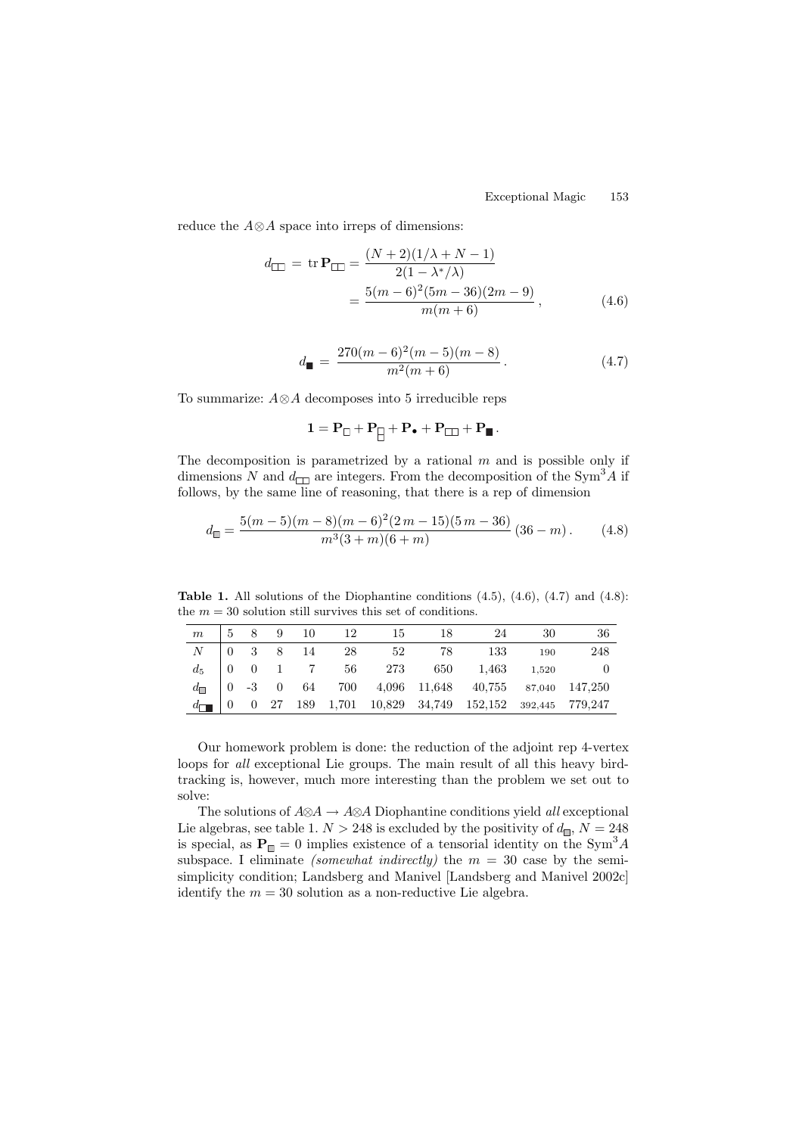reduce the A⊗A space into irreps of dimensions:

$$
d_{\square} = \text{tr } \mathbf{P}_{\square} = \frac{(N+2)(1/\lambda + N - 1)}{2(1 - \lambda^*/\lambda)} = \frac{5(m-6)^2(5m-36)(2m-9)}{m(m+6)},
$$
(4.6)

$$
d_{\blacksquare} = \frac{270(m-6)^2(m-5)(m-8)}{m^2(m+6)}.
$$
\n(4.7)

To summarize: A⊗A decomposes into 5 irreducible reps

$$
1 = \mathbf{P}_{\square} + \mathbf{P}_{\square} + \mathbf{P}_{\bullet} + \mathbf{P}_{\square\!\square} + \mathbf{P}_{\blacksquare} \,.
$$

The decomposition is parametrized by a rational  $m$  and is possible only if dimensions N and  $d_{\square}$  are integers. From the decomposition of the Sym<sup>3</sup>A if follows, by the same line of reasoning, that there is a rep of dimension

$$
d_{\square} = \frac{5(m-5)(m-8)(m-6)^2(2m-15)(5m-36)}{m^3(3+m)(6+m)}(36-m). \tag{4.8}
$$

**Table 1.** All solutions of the Diophantine conditions (4.5), (4.6), (4.7) and (4.8): the  $m = 30$  solution still survives this set of conditions.

| m |  |  | 5 8 9 10 12 15                       | -18 | 24                                                            | -30 | 36  |
|---|--|--|--------------------------------------|-----|---------------------------------------------------------------|-----|-----|
|   |  |  | $N \t 0 \t 3 \t 8 \t 14 \t 28 \t 52$ | 78  | 133                                                           | 190 | 248 |
|   |  |  |                                      |     | $d_5$   0 0 1 7 56 273 650 1,463 1,520                        |     |     |
|   |  |  |                                      |     | $d_{\Box}$   0 -3 0 64 700 4,096 11,648 40,755 87,040 147,250 |     |     |
|   |  |  |                                      |     |                                                               |     |     |

Our homework problem is done: the reduction of the adjoint rep 4-vertex loops for all exceptional Lie groups. The main result of all this heavy birdtracking is, however, much more interesting than the problem we set out to solve:

The solutions of  $A\otimes A \to A\otimes A$  Diophantine conditions yield all exceptional Lie algebras, see table 1.  $N > 248$  is excluded by the positivity of  $d_{\square}$ ,  $N = 248$ is special, as  $P_{\Box} = 0$  implies existence of a tensorial identity on the Sym<sup>3</sup>A subspace. I eliminate *(somewhat indirectly)* the  $m = 30$  case by the semisimplicity condition; Landsberg and Manivel [Landsberg and Manivel 2002c] identify the  $m = 30$  solution as a non-reductive Lie algebra.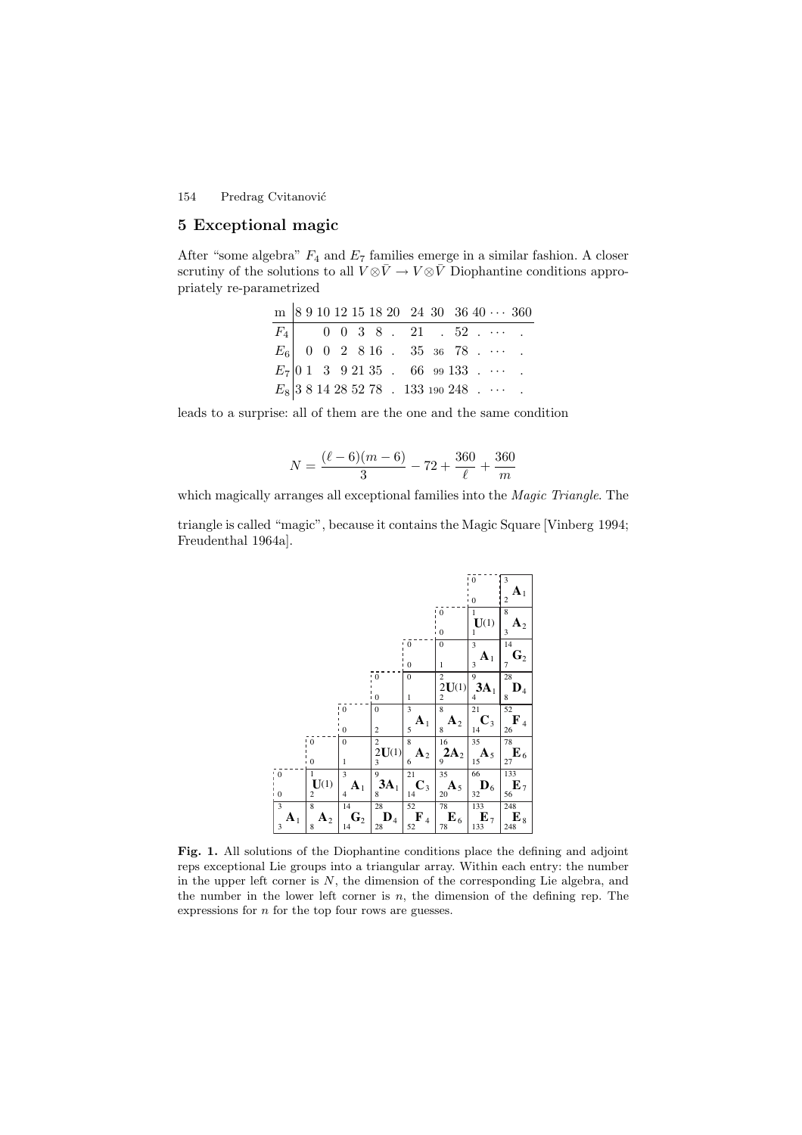# **5 Exceptional magic**

After "some algebra"  $F_4$  and  $E_7$  families emerge in a similar fashion. A closer scrutiny of the solutions to all  $V \otimes \bar{V} \to V \otimes \bar{V}$  Diophantine conditions appropriately re-parametrized

|  |  |  |  |                                                  |  | m   8 9 10 12 15 18 20 24 30 36 40 $\cdots$ 360 |
|--|--|--|--|--------------------------------------------------|--|-------------------------------------------------|
|  |  |  |  | $F_4$ 0 0 3 8 . 21 . 52                          |  |                                                 |
|  |  |  |  | $E_6$   0 0 2 8 16 . 35 36 78                    |  |                                                 |
|  |  |  |  | $E_7$   0 1 3 9 21 35 . 66 99 133                |  |                                                 |
|  |  |  |  | $E_8$ 3 8 14 28 52 78 . 133 190 248 . $\cdots$ . |  |                                                 |

leads to a surprise: all of them are the one and the same condition

$$
N = \frac{(\ell - 6)(m - 6)}{3} - 72 + \frac{360}{\ell} + \frac{360}{m}
$$

which magically arranges all exceptional families into the *Magic Triangle*. The

triangle is called "magic", because it contains the Magic Square [Vinberg 1994; Freudenthal 1964a].



**Fig. 1.** All solutions of the Diophantine conditions place the defining and adjoint reps exceptional Lie groups into a triangular array. Within each entry: the number in the upper left corner is  $N$ , the dimension of the corresponding Lie algebra, and the number in the lower left corner is  $n$ , the dimension of the defining rep. The expressions for  $n$  for the top four rows are guesses.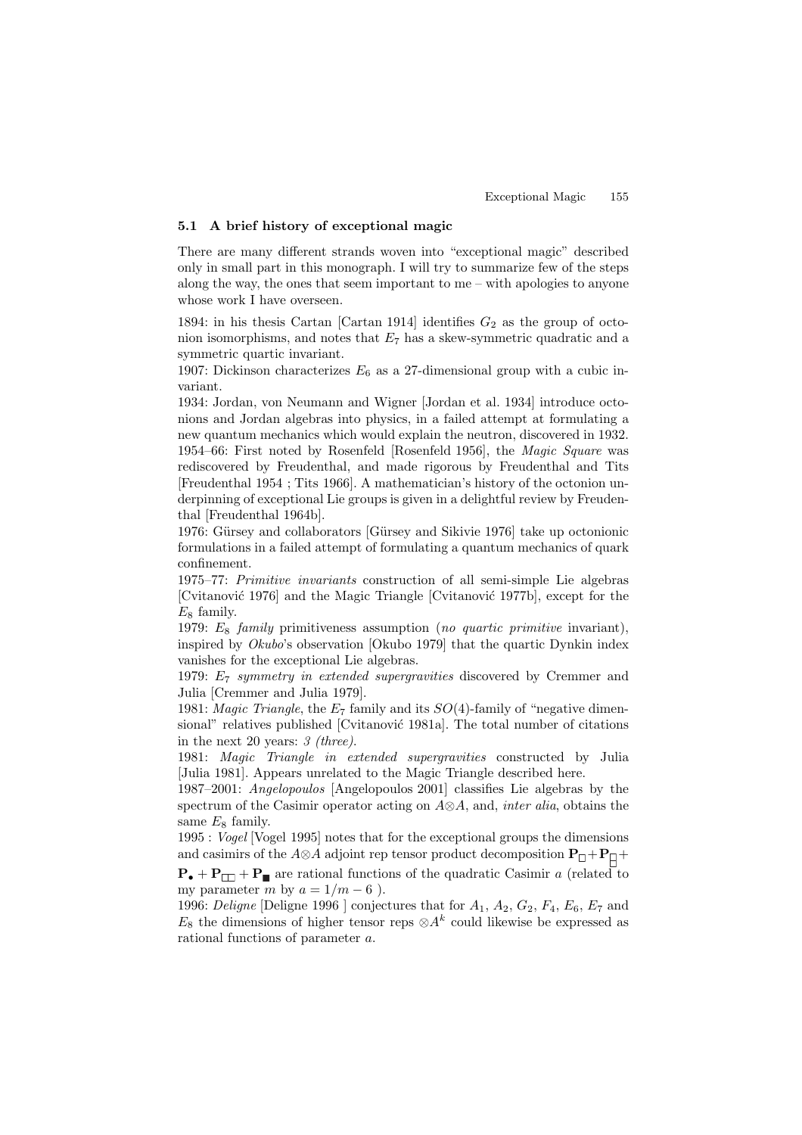# **5.1 A brief history of exceptional magic**

There are many different strands woven into "exceptional magic" described only in small part in this monograph. I will try to summarize few of the steps along the way, the ones that seem important to me – with apologies to anyone whose work I have overseen.

1894: in his thesis Cartan [Cartan 1914] identifies  $G_2$  as the group of octonion isomorphisms, and notes that  $E_7$  has a skew-symmetric quadratic and a symmetric quartic invariant.

1907: Dickinson characterizes  $E_6$  as a 27-dimensional group with a cubic invariant.

1934: Jordan, von Neumann and Wigner [Jordan et al. 1934] introduce octonions and Jordan algebras into physics, in a failed attempt at formulating a new quantum mechanics which would explain the neutron, discovered in 1932. 1954–66: First noted by Rosenfeld [Rosenfeld 1956], the Magic Square was rediscovered by Freudenthal, and made rigorous by Freudenthal and Tits [Freudenthal 1954 ; Tits 1966]. A mathematician's history of the octonion underpinning of exceptional Lie groups is given in a delightful review by Freudenthal [Freudenthal 1964b].

1976: Gürsey and collaborators [Gürsey and Sikivie 1976] take up octonionic formulations in a failed attempt of formulating a quantum mechanics of quark confinement.

1975–77: Primitive invariants construction of all semi-simple Lie algebras [Cvitanović 1976] and the Magic Triangle [Cvitanović 1977b], except for the  $E_8$  family.

1979:  $E_8$  family primitiveness assumption (no quartic primitive invariant), inspired by Okubo's observation [Okubo 1979] that the quartic Dynkin index vanishes for the exceptional Lie algebras.

1979: E<sup>7</sup> symmetry in extended supergravities discovered by Cremmer and Julia [Cremmer and Julia 1979].

1981: Magic Triangle, the  $E_7$  family and its  $SO(4)$ -family of "negative dimensional" relatives published [Cvitanović 1981a]. The total number of citations in the next 20 years: 3 (three).

1981: Magic Triangle in extended supergravities constructed by Julia [Julia 1981]. Appears unrelated to the Magic Triangle described here.

1987–2001: Angelopoulos [Angelopoulos 2001] classifies Lie algebras by the spectrum of the Casimir operator acting on  $A\otimes A$ , and, *inter alia*, obtains the same  $E_8$  family.

1995 : Vogel [Vogel 1995] notes that for the exceptional groups the dimensions and casimirs of the  $A \otimes A$  adjoint rep tensor product decomposition  $P_{\Box} + P_{\Box} +$ 

 $\mathbf{P}_{\bullet} + \mathbf{P}_{\square} + \mathbf{P}_{\blacksquare}$  are rational functions of the quadratic Casimir a (related to my parameter m by  $a = 1/m - 6$  ).

1996: Deligne [Deligne 1996] conjectures that for  $A_1$ ,  $A_2$ ,  $G_2$ ,  $F_4$ ,  $E_6$ ,  $E_7$  and  $E_8$  the dimensions of higher tensor reps  $\otimes A^k$  could likewise be expressed as rational functions of parameter a.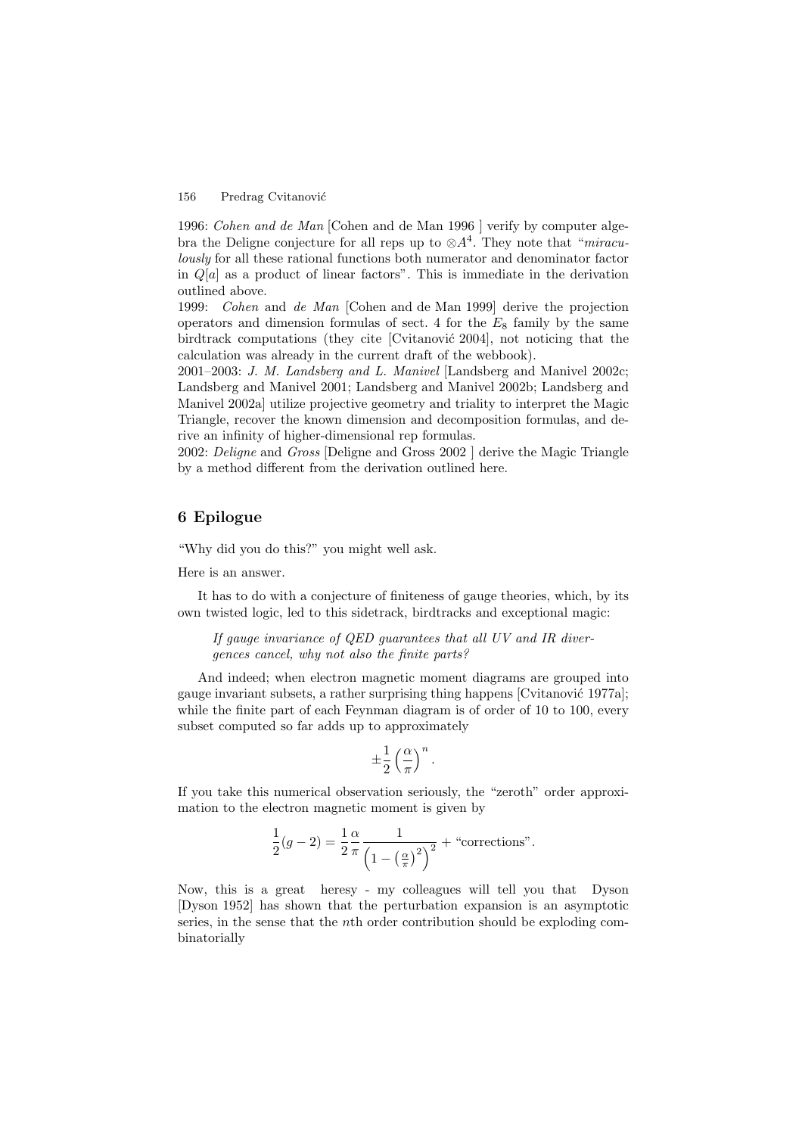1996: Cohen and de Man [Cohen and de Man 1996 ] verify by computer algebra the Deligne conjecture for all reps up to  $\otimes A^4$ . They note that "miraculously for all these rational functions both numerator and denominator factor in  $Q[a]$  as a product of linear factors". This is immediate in the derivation outlined above.

1999: Cohen and de Man [Cohen and de Man 1999] derive the projection operators and dimension formulas of sect. 4 for the  $E_8$  family by the same birdtrack computations (they cite [Cvitanović 2004], not noticing that the calculation was already in the current draft of the webbook).

2001–2003: J. M. Landsberg and L. Manivel [Landsberg and Manivel 2002c; Landsberg and Manivel 2001; Landsberg and Manivel 2002b; Landsberg and Manivel 2002a] utilize projective geometry and triality to interpret the Magic Triangle, recover the known dimension and decomposition formulas, and derive an infinity of higher-dimensional rep formulas.

2002: Deligne and Gross [Deligne and Gross 2002 ] derive the Magic Triangle by a method different from the derivation outlined here.

# **6 Epilogue**

"Why did you do this?" you might well ask.

Here is an answer.

It has to do with a conjecture of finiteness of gauge theories, which, by its own twisted logic, led to this sidetrack, birdtracks and exceptional magic:

If gauge invariance of QED guarantees that all UV and IR divergences cancel, why not also the finite parts?

And indeed; when electron magnetic moment diagrams are grouped into gauge invariant subsets, a rather surprising thing happens [Cvitanović 1977a]; while the finite part of each Feynman diagram is of order of 10 to 100, every subset computed so far adds up to approximately

$$
\pm\frac{1}{2}\left(\frac{\alpha}{\pi}\right)^n.
$$

If you take this numerical observation seriously, the "zeroth" order approximation to the electron magnetic moment is given by

$$
\frac{1}{2}(g-2) = \frac{1}{2}\frac{\alpha}{\pi} \frac{1}{\left(1 - \left(\frac{\alpha}{\pi}\right)^2\right)^2} + \text{``corrections''}.
$$

Now, this is a great heresy - my colleagues will tell you that Dyson [Dyson 1952] has shown that the perturbation expansion is an asymptotic series, in the sense that the nth order contribution should be exploding combinatorially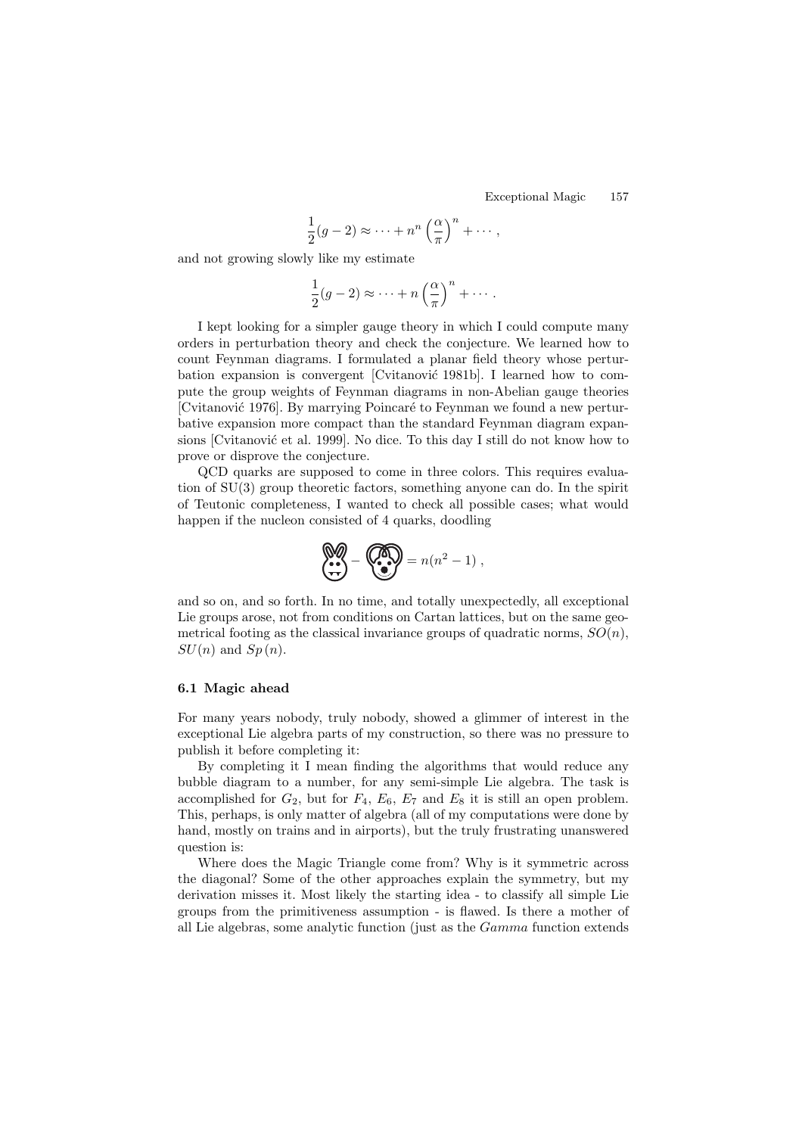Exceptional Magic 157

$$
\frac{1}{2}(g-2) \approx \cdots + n^n \left(\frac{\alpha}{\pi}\right)^n + \cdots,
$$

and not growing slowly like my estimate

$$
\frac{1}{2}(g-2) \approx \cdots + n\left(\frac{\alpha}{\pi}\right)^n + \cdots.
$$

I kept looking for a simpler gauge theory in which I could compute many orders in perturbation theory and check the conjecture. We learned how to count Feynman diagrams. I formulated a planar field theory whose perturbation expansion is convergent [Cvitanović 1981b]. I learned how to compute the group weights of Feynman diagrams in non-Abelian gauge theories [Cvitanović 1976]. By marrying Poincaré to Feynman we found a new perturbative expansion more compact than the standard Feynman diagram expansions [Cvitanović et al. 1999]. No dice. To this day I still do not know how to prove or disprove the conjecture.

QCD quarks are supposed to come in three colors. This requires evaluation of SU(3) group theoretic factors, something anyone can do. In the spirit of Teutonic completeness, I wanted to check all possible cases; what would happen if the nucleon consisted of 4 quarks, doodling

$$
\underbrace{\mathbf{M}}_{\bullet} = \underbrace{\mathbf{M}}_{\bullet} = n(n^2 - 1) \;,
$$

and so on, and so forth. In no time, and totally unexpectedly, all exceptional Lie groups arose, not from conditions on Cartan lattices, but on the same geometrical footing as the classical invariance groups of quadratic norms,  $SO(n)$ ,  $SU(n)$  and  $Sp(n)$ .

#### **6.1 Magic ahead**

For many years nobody, truly nobody, showed a glimmer of interest in the exceptional Lie algebra parts of my construction, so there was no pressure to publish it before completing it:

By completing it I mean finding the algorithms that would reduce any bubble diagram to a number, for any semi-simple Lie algebra. The task is accomplished for  $G_2$ , but for  $F_4$ ,  $E_6$ ,  $E_7$  and  $E_8$  it is still an open problem. This, perhaps, is only matter of algebra (all of my computations were done by hand, mostly on trains and in airports), but the truly frustrating unanswered question is:

Where does the Magic Triangle come from? Why is it symmetric across the diagonal? Some of the other approaches explain the symmetry, but my derivation misses it. Most likely the starting idea - to classify all simple Lie groups from the primitiveness assumption - is flawed. Is there a mother of all Lie algebras, some analytic function (just as the Gamma function extends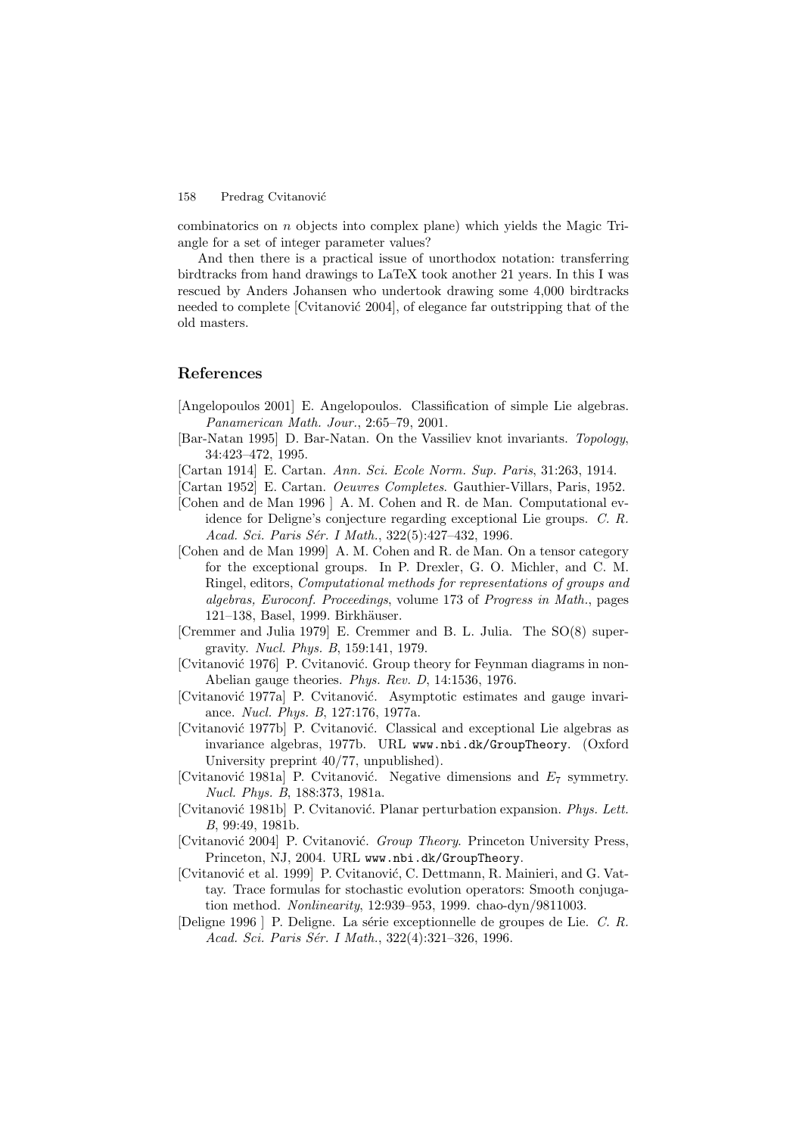combinatorics on n objects into complex plane) which yields the Magic Triangle for a set of integer parameter values?

And then there is a practical issue of unorthodox notation: transferring birdtracks from hand drawings to LaTeX took another 21 years. In this I was rescued by Anders Johansen who undertook drawing some 4,000 birdtracks needed to complete [Cvitanović 2004], of elegance far outstripping that of the old masters.

# **References**

- [Angelopoulos 2001] E. Angelopoulos. Classification of simple Lie algebras. Panamerican Math. Jour., 2:65–79, 2001.
- [Bar-Natan 1995] D. Bar-Natan. On the Vassiliev knot invariants. Topology, 34:423–472, 1995.
- [Cartan 1914] E. Cartan. Ann. Sci. Ecole Norm. Sup. Paris, 31:263, 1914.
- [Cartan 1952] E. Cartan. *Oeuvres Completes*. Gauthier-Villars, Paris, 1952.
- [Cohen and de Man 1996 ] A. M. Cohen and R. de Man. Computational evidence for Deligne's conjecture regarding exceptional Lie groups. C. R. Acad. Sci. Paris Sér. I Math., 322(5):427-432, 1996.
- [Cohen and de Man 1999] A. M. Cohen and R. de Man. On a tensor category for the exceptional groups. In P. Drexler, G. O. Michler, and C. M. Ringel, editors, Computational methods for representations of groups and algebras, Euroconf. Proceedings, volume 173 of Progress in Math., pages 121–138, Basel, 1999. Birkhäuser.
- [Cremmer and Julia 1979] E. Cremmer and B. L. Julia. The SO(8) supergravity. Nucl. Phys. B, 159:141, 1979.
- [Cvitanović 1976] P. Cvitanović. Group theory for Feynman diagrams in non-Abelian gauge theories. Phys. Rev. D, 14:1536, 1976.
- [Cvitanović 1977a] P. Cvitanović. Asymptotic estimates and gauge invariance. Nucl. Phys. B, 127:176, 1977a.
- [Cvitanović 1977b] P. Cvitanović. Classical and exceptional Lie algebras as invariance algebras, 1977b. URL www.nbi.dk/GroupTheory. (Oxford University preprint 40/77, unpublished).
- [Cvitanović 1981a] P. Cvitanović. Negative dimensions and  $E_7$  symmetry. Nucl. Phys. B, 188:373, 1981a.
- [Cvitanović 1981b] P. Cvitanović. Planar perturbation expansion. Phys. Lett. B, 99:49, 1981b.
- [Cvitanović 2004] P. Cvitanović. Group Theory. Princeton University Press, Princeton, NJ, 2004. URL www.nbi.dk/GroupTheory.
- [Cvitanovi´c et al. 1999] P. Cvitanovi´c, C. Dettmann, R. Mainieri, and G. Vattay. Trace formulas for stochastic evolution operators: Smooth conjugation method. Nonlinearity, 12:939–953, 1999. chao-dyn/9811003.
- [Deligne 1996 ] P. Deligne. La série exceptionnelle de groupes de Lie. C. R. Acad. Sci. Paris Sér. I Math., 322(4):321–326, 1996.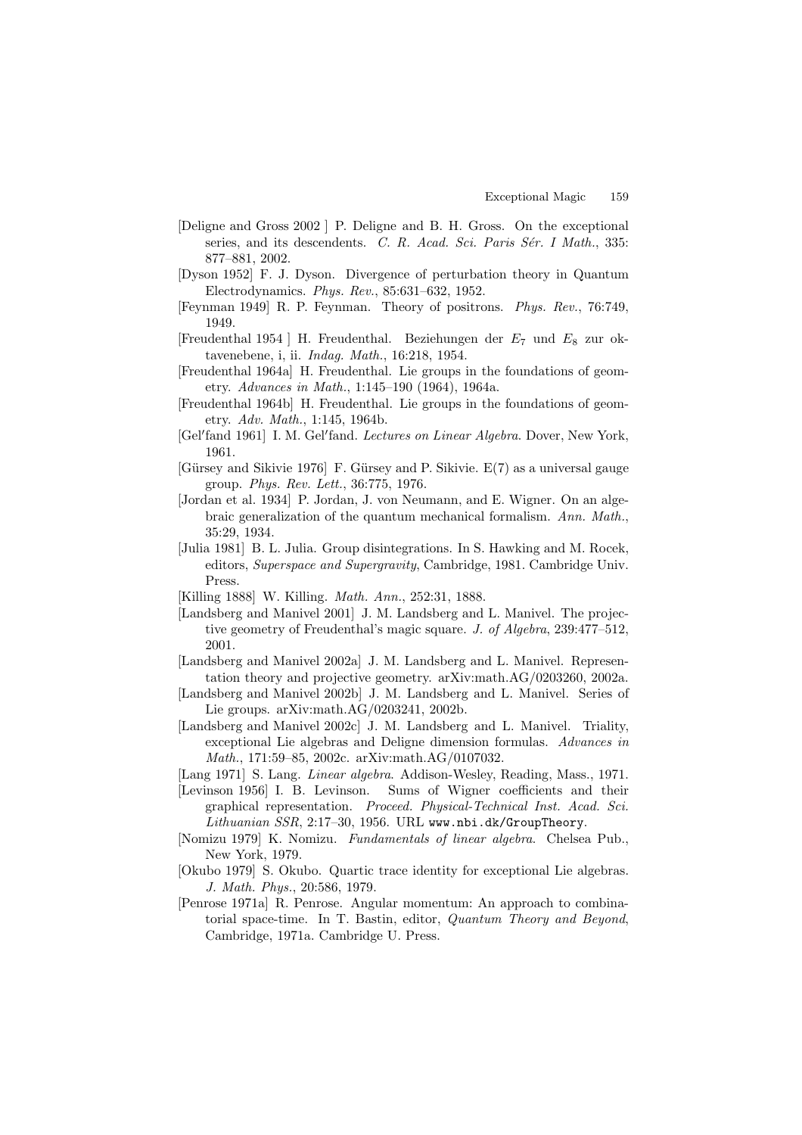- [Deligne and Gross 2002 ] P. Deligne and B. H. Gross. On the exceptional series, and its descendents. C. R. Acad. Sci. Paris Sér. I Math., 335: 877–881, 2002.
- [Dyson 1952] F. J. Dyson. Divergence of perturbation theory in Quantum Electrodynamics. Phys. Rev., 85:631–632, 1952.
- [Feynman 1949] R. P. Feynman. Theory of positrons. Phys. Rev., 76:749, 1949.
- [Freudenthal 1954 ] H. Freudenthal. Beziehungen der  $E_7$  und  $E_8$  zur oktavenebene, i, ii. Indag. Math., 16:218, 1954.
- [Freudenthal 1964a] H. Freudenthal. Lie groups in the foundations of geometry. Advances in Math., 1:145–190 (1964), 1964a.
- [Freudenthal 1964b] H. Freudenthal. Lie groups in the foundations of geometry. Adv. Math., 1:145, 1964b.
- [Gel'fand 1961] I. M. Gel'fand. Lectures on Linear Algebra. Dover, New York, 1961.
- $[G\ddot{u}rsev$  and Sikivie 1976] F. Gürsey and P. Sikivie. E(7) as a universal gauge group. Phys. Rev. Lett., 36:775, 1976.
- [Jordan et al. 1934] P. Jordan, J. von Neumann, and E. Wigner. On an algebraic generalization of the quantum mechanical formalism. Ann. Math., 35:29, 1934.
- [Julia 1981] B. L. Julia. Group disintegrations. In S. Hawking and M. Rocek, editors, Superspace and Supergravity, Cambridge, 1981. Cambridge Univ. Press.
- [Killing 1888] W. Killing. *Math. Ann.*, 252:31, 1888.
- [Landsberg and Manivel 2001] J. M. Landsberg and L. Manivel. The projective geometry of Freudenthal's magic square. J. of Algebra, 239:477–512, 2001.
- [Landsberg and Manivel 2002a] J. M. Landsberg and L. Manivel. Representation theory and projective geometry. arXiv:math.AG/0203260, 2002a.
- [Landsberg and Manivel 2002b] J. M. Landsberg and L. Manivel. Series of Lie groups. arXiv:math.AG/0203241, 2002b.
- [Landsberg and Manivel 2002c] J. M. Landsberg and L. Manivel. Triality, exceptional Lie algebras and Deligne dimension formulas. Advances in Math., 171:59–85, 2002c. arXiv:math.AG/0107032.
- [Lang 1971] S. Lang. *Linear algebra*. Addison-Wesley, Reading, Mass., 1971.
- [Levinson 1956] I. B. Levinson. Sums of Wigner coefficients and their graphical representation. Proceed. Physical-Technical Inst. Acad. Sci. Lithuanian SSR, 2:17–30, 1956. URL www.nbi.dk/GroupTheory.
- [Nomizu 1979] K. Nomizu. Fundamentals of linear algebra. Chelsea Pub., New York, 1979.
- [Okubo 1979] S. Okubo. Quartic trace identity for exceptional Lie algebras. J. Math. Phys., 20:586, 1979.
- [Penrose 1971a] R. Penrose. Angular momentum: An approach to combinatorial space-time. In T. Bastin, editor, Quantum Theory and Beyond, Cambridge, 1971a. Cambridge U. Press.